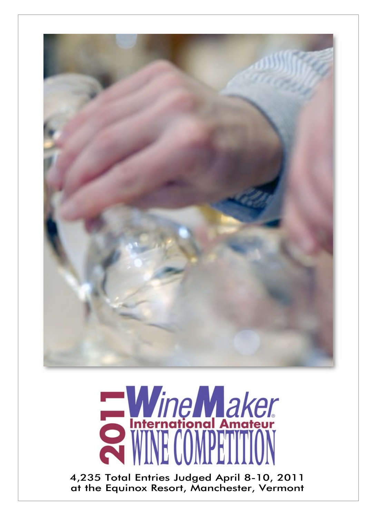



4,235 Total Entries Judged April 8-10, 2011 at the Equinox Resort, Manchester, Vermont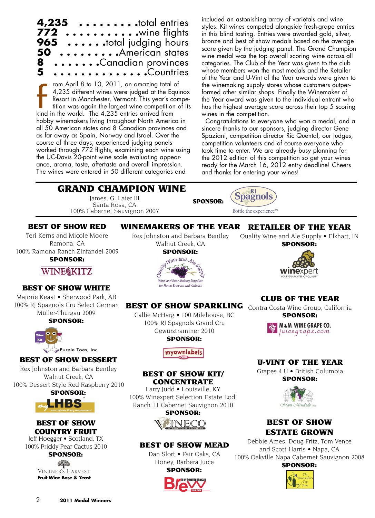

rom April 8 to 10, 2011, an amazing total of 4,235 different wines were judged at the Equinox Resort in Manchester, Vermont. This year's competition was again the largest wine competition of its kind in the world. The 4,235 entries are the world. The world. The world. The world. The 4,235 entries arrived from the world. The 4,235 entries arrived from hobby winemakers living throughout North America in all 50 American states and 8 Canadian provinces and as far away as Spain, Norway and Israel. Over the course of three days, experienced judging panels worked through 772 flights, examining each wine using the UC-Davis 20-point wine scale evaluating appearance, aroma, taste, aftertaste and overall impression. The wines were entered in 50 different categories and

included an astonishing array of varietals and wine styles. Kit wines competed alongside fresh-grape entries in this blind tasting. Entries were awarded gold, silver, bronze and best of show medals based on the average score given by the judging panel. The Grand Champion wine medal was the top overall scoring wine across all categories. The Club of the Year was given to the club whose members won the most medals and the Retailer of the Year and U-Vint of the Year awards were given to the winemaking supply stores whose customers outperformed other similar shops. Finally the Winemaker of the Year award was given to the individual entrant who has the highest average score across their top 5 scoring wines in the competition.

Congratulations to everyone who won a medal, and a sincere thanks to our sponsors, judging director Gene Spaziani, competition director Ric Quental, our judges, competition volunteers and of course everyone who took time to enter. We are already busy planning for the 2012 edition of this competition so get your wines ready for the March 16, 2012 entry deadline! Cheers and thanks for entering your wines!

## GRAND CHAMPION WINE

James. G. Laier III Santa Rosa, CA 100% Cabernet Sauvignon 2007 SPONSOR:



## BEST OF SHOW RED

Teri Kerns and Micole Moore Ramona, CA 100% Ramona Ranch Zinfandel 2009 SPONSOR:

## WINE@KITZ

## BEST OF SHOW WHITE

Majorie Keast • Sherwood Park, AB 100% RJ Spagnols Cru Select German Müller-Thurgau 2009

#### SPONSOR:



## BEST OF SHOW DESSERT

Rex Johnston and Barbara Bentley Walnut Creek, CA 100% Dessert Style Red Raspberry 2010



## BEST OF SHOW COUNTRY FRUIT

Jeff Hoegger • Scotland, TX 100% Prickly Pear Cactus 2010

## SPONSOR:

VINTNER'S HARVEST **Fruit Wine Base & Yeast**

RETAILER OF THE YEAR WINEMAKERS OF THE YEAR

Rex Johnston and Barbara Bentley Walnut Creek, CA

Quality Wine and Ale Supply • Elkhart, IN SPONSOR:



## BEST OF SHOW SPARKLING Contra Costa Wine Group, California

Callie McHarg • 100 Milehouse, BC 100% RJ Spagnols Grand Cru Gewürztraminer 2010 SPONSOR:

myownlabels

#### BEST OF SHOW KIT/ CONCENTRATE

Larry Judd • Louisville, KY 100% Winexpert Selection Estate Lodi Ranch 11 Cabernet Sauvignon 2010 SPONSOR:



## BEST OF SHOW MEAD

Dan Slort • Fair Oaks, CA Honey, Barbera Juice



# SPONSOR:

**M&M WINE GRAPE CO.** juicegrape.com

## U-VINT OF THE YEAR

Grapes 4 U • British Columbia SPONSOR:



## BEST OF SHOW ESTATE GROWN

Debbie Ames, Doug Fritz, Tom Vence and Scott Harris • Napa, CA 100% Oakville Napa Cabernet Sauvignon 2008

SPONSOR:





# CLUB OF THE YEAR

SPONSOR: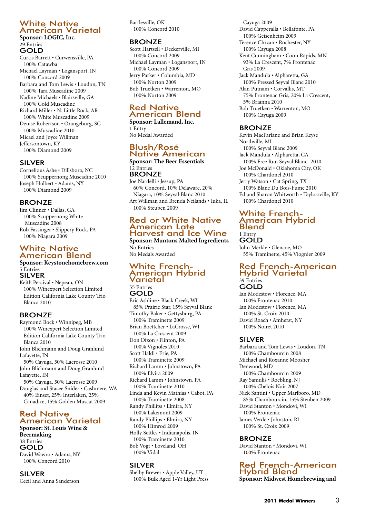#### White Native American Varietal **Sponsor: LOGIC, Inc.** 29 Entries

GOLD Curtis Barrett • Curwensville, PA 100% Catawba Michael Layman • Logansport, IN 100% Concord 2009 Barbara and Tom Lewis • Loudon, TN 100% Tara Muscadine 2009 Nadine Michaels • Blairsville, GA 100% Gold Muscadine Richard Miller • N. Little Rock, AR 100% White Muscadine 2009 Denise Robertson • Orangeburg, SC 100% Muscadine 2010 Micael and Joyce Willman Jeffersontown, KY 100% Diamond 2009

#### SILVER

Cornelious Ashe • Dillsboro, NC 100% Scuppernong Muscadine 2010 Joseph Hulbert • Adams, NY 100% Diamond 2009

## **BRONZE**

Jim Clinner • Dallas, GA 100% Scuppernong White Muscadine 2008 Rob Fassinger • Slippery Rock, PA 100% Niagara 2009

#### White Native American Blend **Sponsor: Keystonehomebrew.com**

#### 5 Entries SILVER

Keith Percival • Nepean, ON 100% Winexpert Selection Limited Edition California Lake County Trio Blanca 2010

## BRONZE

Raymond Bock • Winnipeg, MB 100% Winexpert Selection Limited Edition California Lake County Trio Blanca 2010

John Blichmann and Doug Granlund Lafayette, IN

50% Cayuga, 50% Lacrosse 2010 John Blichmann and Doug Granlund Lafayette, IN

50% Cayuga, 50% Lacrosse 2009 Douglas and Stacee Snider • Cashmere, WA 40% Einset, 25% Interlaken, 25%

Canadice, 15% Golden Muscat 2009

## Red Native American Varietal

**Sponsor: St. Louis Wine & Beermaking** 38 Entries GOLD David Wawro • Adams, NY 100% Concord 2010

SILVER Cecil and Anna Sanderson Bartlesville, OK 100% Concord 2010

## **BRONZE**

Scott Hartsell • Deckerville, MI 100% Concord 2009 Michael Layman • Logansport, IN 100% Concord 2009 Jerry Parker • Columbia, MD 100% Norton 2009 Bob Truetken • Warrenton, MO 100% Norton 2009

#### Red Native American Blend **Sponsor: Lallemand, Inc.**

1 Entry No Medal Awarded

#### Blush/Rosé Native American **Sponsor: The Beer Essentials**

12 Entries BRONZE

Joe Nardelli • Jessup, PA 60% Concord, 10% Delaware, 20% Niagara, 10% Seyval Blanc 2010 Art Willman and Brenda Neilands • Iuka, IL 100% Steuben 2009

### Red or White Native American Late Harvest and Ice Wine **Sponsor: Muntons Malted Ingredients**

No Entries No Medals Awarded

#### White French-American Hybrid Varietal 55 Entries

#### GOLD

Eric Ashline • Black Creek, WI 85% Prairie Star, 15% Seyval Blanc Timothy Baker • Gettysburg, PA 100% Traminette 2009 Brian Boettcher • LaCrosse, WI 100% La Crescent 2009 Don Dixon • Flinton, PA 100% Vignoles 2010 Scott Haldi • Erie, PA 100% Traminette 2009 Richard Lamm • Johnstown, PA 100% Elvira 2009 Richard Lamm • Johnstown, PA 100% Traminette 2010 Linda and Kevin Mathias • Cabot, PA 100% Traminette 2008 Randy Phillips • Elmira, NY 100% Lakemont 2009 Randy Phillips • Elmira, NY 100% Himrod 2009 Holly Settles • Indianapolis, IN 100% Traminette 2010 Bob Vogt • Loveland, OH 100% Vidal

## SILVER

Shelby Brewer • Apple Valley, UT 100% Bulk Aged 1-Yr Light Press

Cayuga 2009 David Capperalla • Bellafonte, PA 100% Geisenheim 2009 Terence Chrzan • Rochester, NY 100% Cayuga 2008

Kent Cunningham • Coon Rapids, MN 93% La Crescent, 7% Frontenac Gris 2009

Jack Mandula • Alpharetta, GA 100% Pressed Seyval Blanc 2010 Alan Putnam • Corvallis, MT

75% Frontenac Gris, 20% La Crescent, 5% Brianna 2010 Bob Truetken • Warrenton, MO 100% Cayuga 2009

## BRONZE

Kevin MacFarlane and Brian Keyse Northville, MI 100% Seyval Blanc 2009 Jack Mandula • Alpharetta, GA 100% Free Run Seyval Blanc 2010 Joe McDonald • Oklahoma City, OK 100% Chardonel 2010 Jerry Watson • Cat Spring, TX 100% Blanc Du Bois-Fume 2010 Ed and Sharon Whitworth • Taylorsville, KY 100% Chardonel 2010

#### White French-American Hybrid Blend 1 Entry

GOLD

John Merkle • Glencoe, MO 55% Traminette, 45% Viognier 2009

#### Red French-American Hybrid Varietal 39 Entries GOLD

Ian Modestow • Florence, MA 100% Frontenac 2010 Ian Modestow • Florence, MA 100% St. Croix 2010 David Roach • Amherst, NY 100% Noiret 2010

## SILVER

Barbara and Tom Lewis • Loudon, TN 100% Chambourcin 2008 Michael and Roxanne Moosher Denwood, MD 100% Chambourcin 2009 Ray Samulis • Roebling, NJ 100% Chelois Noir 2007 Nick Santini • Upper Marlboro, MD 85% Chambourcin, 15% Steuben 2009 David Stanton • Mondovi, WI 100% Frontenac James Verde • Johnston, RI 100% St. Croix 2009

## **BRONZE**

David Stanton • Mondovi, WI 100% Frontenac

#### Red French-American Hybrid Blend **Sponsor: Midwest Homebrewing and**

**2011 Medal Winners** 3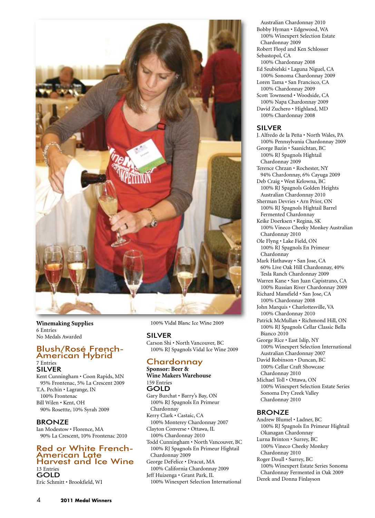

**Winemaking Supplies** 6 Entries No Medals Awarded

## Blush/Rosé French-American Hybrid

#### 7 Entries SILVER

Kent Cunningham • Coon Rapids, MN 95% Frontenac, 5% La Crescent 2009 T.A. Pechin • Lagrange, IN 100% Frontenac Bill Wilen • Kent, OH 90% Rosettte, 10% Syrah 2009

## BRONZE

Ian Modestow • Florence, MA 90% La Crescent, 10% Frontenac 2010

#### Red or White French-American Late Harvest and Ice Wine 13 Entries

GOLD Eric Schmitt • Brookfield, WI 100% Vidal Blanc Ice Wine 2009

## SILVER

Carson Shi • North Vancouver, BC 100% RJ Spagnols Vidal Ice Wine 2009

## Chardonnay

**Sponsor: Beer & Wine Makers Warehouse** 159 Entries GOLD

Gary Burchat • Barry's Bay, ON 100% RJ Spagnols En Primeur Chardonnay

Kerry Clark • Castaic, CA 100% Monterey Chardonnay 2007 Clayton Converse • Ottawa, IL

100% Chardonnay 2010 Todd Cunningham • North Vancouver, BC 100% RJ Spagnols En Primeur Hightail Chardonnay 2009

George DeFelice • Dracut, MA 100% California Chardonnay 2009 Jeff Huizenga • Grant Park, IL

100% Winexpert Selection International

Australian Chardonnay 2010 Bobby Hyman • Edgewood, WA 100% Winexpert Selection Estate Chardonnay 2009 Robert Floyd and Ken Schlosser Sebastopol, CA 100% Chardonnay 2008 Ed Szubielski • Laguna Niguel, CA 100% Sonoma Chardonnay 2009 Loren Tama • San Francisco, CA 100% Chardonnay 2009 Scott Townsend • Woodside, CA 100% Napa Chardonnay 2009 David Zuchero • Highland, MD 100% Chardonnay 2008

## SILVER

J. Alfredo de la Peña • North Wales, PA 100% Pennsylvania Chardonnay 2009 George Bazin • Saanichtan, BC 100% RJ Spagnols Hightail Chardonnay 2009 Terence Chrzan • Rochester, NY 94% Chardonnay, 6% Cayuga 2009 Deb Craig • West Kelowna, BC 100% RJ Spagnols Golden Heights Australian Chardonnay 2010 Sherman Devries • Arn Prior, ON 100% RJ Spagnols Hightail Barrel Fermented Chardonnay Keike Doerksen • Regina, SK 100% Vineco Cheeky Monkey Australian Chardonnay 2010 Ole Flyng • Lake Field, ON 100% RJ Spagnols En Primeur Chardonnay Mark Hathaway • San Jose, CA 60% Live Oak Hill Chardonnay, 40% Tesla Ranch Chardonnay 2009 Warren Kane • San Juan Capistrano, CA 100% Russian River Chardonnay 2009 Richard Mansfield • San Jose, CA 100% Chardonnay 2008 John Marquis • Charlottesville, VA 100% Chardonnay 2010 Patrick McMullan • Richmond Hill, ON 100% RJ Spagnols Cellar Classic Bella Bianco 2010 George Rice • East Islip, NY 100% Winexpert Selection International Australian Chardonnay 2007 David Robinson • Duncan, BC 100% Cellar Craft Showcase Chardonnay 2010 Michael Toll • Ottawa, ON 100% Winexpert Selection Estate Series Sonoma Dry Creek Valley Chardonnay 2010

## BRONZE

Andrew Blumel • Ladner, BC 100% RJ Spagnols En Primeur Hightail Okanagan Chardonnay Lurna Brinton • Surrey, BC 100% Vineco Cheeky Monkey Chardonnay 2010 Roger Doull • Surrey, BC 100% Winexpert Estate Series Sonoma Chardonnay Fermented in Oak 2009 Derek and Donna Finlayson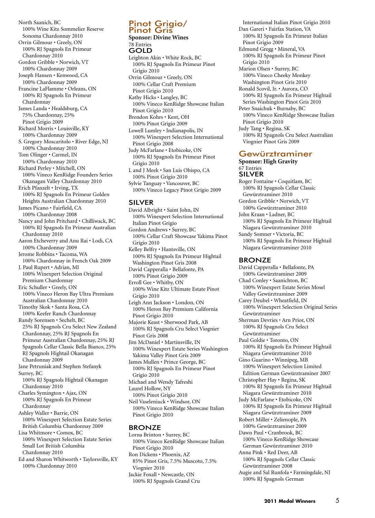North Saanich, BC 100% Wine Kitz Sommelier Reserve Sonoma Chardonnay 2010 Orrin Gilmour • Greely, ON 100% RJ Spagnols En Primeur Chardonnay 2010 Gordon Gribble • Norwich, VT 100% Chardonnay 2009 Joseph Hansen • Kenwood, CA 100% Chardonnay 2009 Francine LaFlamme • Orleans, ON 100% RJ Spagnols En Primeur Chardonnay James Landa • Healdsburg, CA 75% Chardonnay, 25% Pinot Grigio 2009 Richard Morris • Louisville, KY 100% Chardonnay 2009 S. Gregory Moscaritolo • River Edge, NJ 100% Chardonnay 2010 Tom Olinger • Carmel, IN 100% Chardonnay 2010 Richard Perley • Mitchell, ON 100% Vineco KenRidge Founders Series Okanagan Valley Chardonnay 2010 Erich Pfanzelt • Irving, TX 100% RJ Spagnols En Primeur Golden Heights Australian Chardonnay 2010 James Picano • Fairfield, CA 100% Chardonnay 2008 Nancy and John Pritchard • Chilliwack, BC 100% RJ Spagnols En Primeur Australian Chardonnay 2010 Aaron Etcheverry and Anu Rai • Lodi, CA 100% Chardonnay 2009 Jerome Robbins • Tacoma, WA 100% Chardonnay in French Oak 2009 J. Paul Rupert • Adrian, MI 100% Winexpert Selection Original Premium Chardonnay Eric Schuller • Greely, ON 100% Vineco Heron Bay Ultra Premium Australian Chardonnay 2010 Timothy Skok • Santa Rosa, CA 100% Keefer Ranch Chardonnay Randy Sorensen • Sechelt, BC 25% RJ Spagnols Cru Select New Zealand Chardonnay, 25% RJ Spagnols En Primeur Australian Chardonnay, 25% RJ Spagnols Cellar Classic Bella Bianco, 25% RJ Spagnols Hightail Okanagan Chardonnay 2009 Jane Petruniak and Stephen Stefanyk Surrey, BC 100% RJ Spagnols Hightail Okanagan Chardonnay 2010 Charles Symington • Ajax, ON 100% RJ Spagnols En Primeur Chardonnay Ashley Waller • Barrie, ON 100% Winexpert Selection Estate Series British Columbia Chardonnay 2009 Lisa Whitmore • Comox, BC 100% Winexpert Selection Estate Series Small Lot British Columbia Chardonnay 2010 Ed and Sharon Whitworth • Taylorsville, KY 100% Chardonnay 2010

#### Pinot Grigio/ Pinot Gris

**Sponsor: Divine Wines** 78 Entries

GOLD

Leighton Akin • White Rock, BC 100% RJ Spagnols En Primeur Pinot Grigio 2010 Orrin Gilmour • Greely, ON 100% Cellar Craft Premium Pinot Grigio 2010

Kathy Hicks • Langley, BC 100% Vineco KenRidge Showcase Italian Pinot Grigio 2010 Brendon Kohrs • Kent, OH

100% Pinot Grigio 2009 Lowell Lumley • Indianapolis, IN 100% Winexpert Selection International

Pinot Grigio 2008 Judy McFarlane • Etobicoke, ON 100% RJ Spagnols En Primeur Pinot Grigio 2010

L and J Meek • San Luis Obispo, CA 100% Pinot Grigio 2010

Sylvie Tanguay • Vancouver, BC 100% Vineco Legacy Pinot Grigio 2009

## SILVER

David Albright • Saint John, IN 100% Winexpert Selection International Italian Pinot Grigio Gordon Andrews • Surrey, BC 100% Cellar Craft Showcase Yakima Pinot Grigio 2010 Kelley Belfry • Hantsville, ON 100% RJ Spagnols En Primeur Hightail Washington Pinot Gris 2008 David Capperalla • Bellafonte, PA 100% Pinot Grigio 2009 Erroll Gee • Whitby, ON 100% Wine Kitz Ultimate Estate Pinot Grigio 2010 Leigh Ann Jackson • London, ON 100% Heron Bay Premium California Pinot Grigio 2010 Majorie Keast • Sherwood Park, AB 100% RJ Spagnols Cru Select Viognier Pinot Gris 2008 Jim McDaniel • Martinsville, IN 100% Winexpert Estate Series Washington Yakima Valley Pinot Gris 2009 James Mullen • Prince George, BC 100% RJ Spagnols En Primeur Pinot Grigio 2010 Michael and Wendy Tafreshi Laurel Hollow, NY

100% Pinot Grigio 2010 Neil Vaseleniuck • Windsor, ON 100% Vineco KenRidge Showcase Italian Pinot Grigio 2010

## **BRONZE**

Lorna Brinton • Surrey, BC 100% Vineco KenRidge Showcase Italian Pinot Grigio 2010 Ron Dickens • Phoenix, AZ 85% Pinot Gris, 7.5% Muscoto, 7.5% Viognier 2010 Jackie Foxall • Newcastle, ON 100% RJ Spagnols Grand Cru

International Italian Pinot Grigio 2010 Dan Gareri • Fairfax Station, VA 100% RJ Spagnols En Primeur Italian Pinot Grigio 2009 Edmund Gregg • Mineral, VA 100% RJ Spagnols En Primeur Pinot Grigio 2010 Marion Olsen • Surrey, BC 100% Vineco Cheeky Monkey Washington Pinot Gris 2010 Ronald Scovil, Jr. • Aurora, CO 100% RJ Spagnols En Primeur Hightail Series Washington Pinot Gris 2010 Peter Snaichuk • Burnaby, BC 100% Vineco KenRidge Showcase Italian Pinot Grigio 2010

Judy Tang • Regina, SK 100% RJ Spagnols Cru Select Australian Viognier Pinot Gris 2009

## Gewürztraminer

#### **Sponsor: High Gravity** 67 Entries SILVER

Roger Fontaine • Coquitlam, BC 100% RJ Spagnols Cellar Classic Gewürztraminer 2010 Gordon Gribble • Norwich, VT 100% Gewürztraminer 2010 John Kraan • Ladner, BC 100% RJ Spagnols En Primeur Hightail Niagara Gewürztraminer 2010 Sandy Somner • Victoria, BC 100% RJ Spagnols En Primeur Hightail

Niagara Gewürztraminer 2010

BRONZE David Capperalla • Bellafonte, PA 100% Gewürztraminer 2009 Chad Conley • Saanichton, BC 100% Winexpert Estate Series Mosel Valley Gewürztraminer 2009 Carey Deubel • Wheatfield, IN 100% Winexpert Selection Original Series Gewürztraminer Sherman Devries • Arn Prior, ON 100% RJ Spagnols Cru Select Gewürztraminer Paul Goldie • Toronto, ON 100% RJ Spagnols En Primeur Hightail Niagara Gewürztraminer 2010 Gino Guarino • Winnipeg, MB 100% Winexpert Selection Limited Edition German Gewürztraminer 2007 Christopher Hay • Regina, SK 100% RJ Spagnols En Primeur Hightail Niagara Gewürztraminer 2010 Judy McFarlane • Etobicoke, ON 100% RJ Spagnols En Primeur Hightail Niagara Gewürztraminer 2009 Robert Miller • Zelienople, PA 100% Gewürztraminer 2009 Dawn Paul • Cranbrook, BC 100% Vineco KenRidge Showcase German Gewürztraminer 2010

Anna Pink • Red Deer, AB 100% RJ Spagnols Cellar Classic Gewürztraminer 2008

Augie and Sal Runfola • Farmingdale, NJ 100% RJ Spagnols German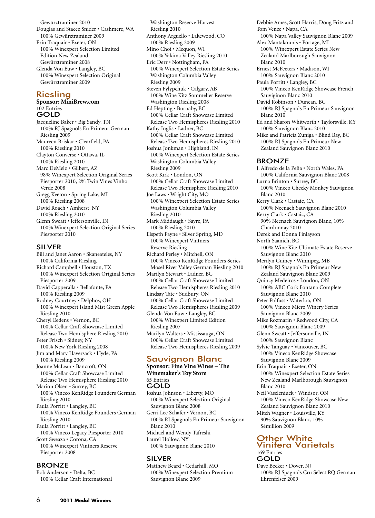Gewürztraminer 2010 Douglas and Stacee Snider • Cashmere, WA 100% Gewürztraminer 2009 Erin Traquair • Exeter, ON 100% Winexpert Selection Limited Edition New Zealand Gewürztraminer 2008 Glenda Von Euw • Langley, BC 100% Winexpert Selection Original Gewürztraminer 2009

## Riesling

#### **Sponsor: MiniBrew.com** 102 Entries GOLD

Jacqueline Baker • Big Sandy, TN 100% RJ Spagnols En Primeur German Riesling 2009 Maureen Briskar • Clearfield, PA 100% Riesling 2010 Clayton Converse • Ottawa, IL 100% Riesling 2010 Marc DeMelo • Gilbert, AZ 98% Winexpert Selection Original Series Piesporter 2010, 2% Twin Vines Vinho Verde 2008 Gregg Keeton • Spring Lake, MI 100% Riesling 2008 David Roach • Amherst, NY 100% Riesling 2010 Glenn Sweatt • Jeffersonville, IN 100% Winexpert Selection Original Series Piesporter 2010

#### SILVER

Bill and Janet Aaron • Skaneateles, NY 100% California Riesling Richard Campbell • Houston, TX 100% Winexpert Selection Original Series Piesporter 2009 David Capperalla • Bellafonte, PA 100% Riesling 2009 Rodney Courtney • Delphos, OH 100% Winexpert Island Mist Green Apple Riesling 2010 Cheryl Eedens • Vernon, BC 100% Cellar Craft Showcase Limited Release Two Hemisphere Riesling 2010 Peter Frisch • Sidney, NY 100% New York Riesling 2008 Jim and Mary Haversack • Hyde, PA 100% Riesling 2009 Joanne McLean • Bancroft, ON 100% Cellar Craft Showcase Limited Release Two Hemisphere Riesling 2010 Marion Olsen • Surrey, BC 100% Vineco KenRidge Founders German Riesling 2010 Paula Porritt • Langley, BC 100% Vineco KenRidge Founders German Riesling 2010 Paula Porritt • Langley, BC 100% Vineco Legacy Piesporter 2010 Scott Sweaza • Corona, CA 100% Winexpert Vintners Reserve Piesporter 2008

#### BRONZE

Bob Anderson • Delta, BC 100% Cellar Craft International

Washington Reserve Harvest Riesling 2010 Anthony Arguello • Lakewood, CO 100% Riesling 2009 Mino Choi • Mequon, WI 100% Yakima Valley Riesling 2010 Eric Derr • Nottingham, PA 100% Winexpert Selection Estate Series Washington Columbia Valley Riesling 2009 Steven Fylypchuk • Calgary, AB 100% Wine Kitz Sommelier Reserve Washington Riesling 2008 Ed Hepting • Burnaby, BC 100% Cellar Craft Showcase Limited Release Two Hemispheres Riesling 2010 Kathy Inglis • Ladner, BC 100% Cellar Craft Showcase Limited Release Two Hemispheres Riesling 2010 Joshua Jonkman • Highland, IN 100% Winexpert Selection Estate Series Washington Columbia Valley Riesling 2009 Scott Kirk • London, ON 100% Cellar Craft Showcase Limited Release Two Hemisphere Riesling 2010 Joe Laws • Wright City, MO 100% Winexpert Selection Estate Series Washington Columbia Valley Riesling 2010 Mark Middaugh • Sayre, PA 100% Riesling 2010 Elspeth Payne • Silver Spring, MD 100% Winexpert Vintners Reserve Riesling Richard Perley • Mitchell, ON 100% Vineco KenRidge Founders Series Mosel River Valley German Riesling 2010 Marilyn Stewart • Ladner, BC 100% Cellar Craft Showcase Limited Release Two Hemispheres Riesling 2010 Lindsay Tate • Sudbury, ON 100% Cellar Craft Showcase Limited Release Two Hemispheres Riesling 2009 Glenda Von Euw • Langley, BC 100% Winexpert Limited Edition Riesling 2007 Marilyn Walters • Mississauga, ON 100% Cellar Craft Showcase Limited Release Two Hemispheres Riesling 2009 Sauvignon Blanc

**Sponsor: Fine Vine Wines – The Winemaker's Toy Store** 65 Entries GOLD Joshua Johnson • Liberty, MO 100% Winexpert Selection Original

Sauvignon Blanc 2008 Gerri Lee Schafer • Vernon, BC 100% RJ Spagnols En Primeur Sauvignon Blanc 2010 Michael and Wendy Tafreshi Laurel Hollow, NY 100% Sauvignon Blanc 2010

#### SILVER

Matthew Beard • Cedarhill, MO 100% Winexpert Selection Premium Sauvignon Blanc 2009

Debbie Ames, Scott Harris, Doug Fritz and Tom Vence • Napa, CA 100% Napa Valley Sauvignon Blanc 2009 Alex Mantakounis • Portage, MI 100% Winexpert Estate Series New Zealand Marlborough Sauvignon Blanc 2010 Ernest McFeeters • Madison, WI 100% Sauvignon Blanc 2010 Paula Porritt • Langley, BC 100% Vineco KenRidge Showcase French Sauviginon Blanc 2010 David Robinson • Duncan, BC 100% RJ Spagnols En Primeur Sauvignon Blanc 2010 Ed and Sharon Whitworth • Taylorsville, KY 100% Sauvignon Blanc 2010 Mike and Patricia Zuniga • Blind Bay, BC 100% RJ Spagnols En Primeur New Zealand Sauvignon Blanc 2010 BRONZE J. Alfredo de la Peña • North Wales, PA 100% California Sauvignon Blanc 2008 Lurna Brinton • Surrey, BC 100% Vineco Cheeky Monkey Sauvignon Blanc 2010 Kerry Clark • Castaic, CA 100% Neenach Sauvignon Blanc 2010 Kerry Clark • Castaic, CA 90% Neenach Sauvignon Blanc, 10% Chardonnay 2010 Derek and Donna Finlayson North Saanich, BC 100% Wine Kitz Ultimate Estate Reserve Sauvignon Blanc 2010 Merilyn Guiney • Winnipeg, MB 100% RJ Spagnols En Primeur New Zealand Sauvignon Blanc 2009 Quincy Medeiros • London, ON 100% ABC Cork Fontana Complete Sauvignon Blanc 2010 Peter Polfuss • Waterloo, ON 100% Vineco Micro Winery Series Sauvignon Blanc 2009 Mike Rozmarin • Redwood City, CA 100% Sauvignon Blanc 2009 Glenn Sweatt • Jeffersonville, IN 100% Sauvignon Blanc Sylvie Tanguay • Vancouver, BC 100% Vineco KenRidge Showcase Sauvignon Blanc 2009 Erin Traquair • Exeter, ON 100% Winexpert Selection Estate Series New Zealand Marlborough Sauvignon Blanc 2010 Neil Vaseleniuck • Windsor, ON 100% Vineco KenRidge Showcase New Zealand Sauvignon Blanc 2010 Mitch Wagner • Louisville, KY 90% Sauvignon Blanc, 10% Sémillion 2009 Other White

## Vinifera Varietals 169 Entries GOLD

Dave Becker • Dover, NJ 100% RJ Spagnols Cru Select RQ German Ehrenfelser 2009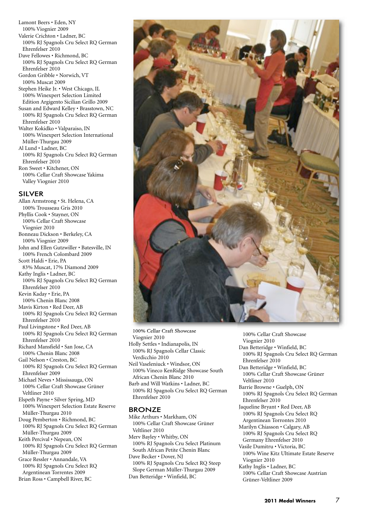Lamont Beers • Eden, NY 100% Viognier 2009 Valerie Crichton • Ladner, BC 100% RJ Spagnols Cru Select RQ German Ehrenfelser 2010 Dave Fellowes • Richmond, BC 100% RJ Spagnols Cru Select RQ German Ehrenfelser 2010 Gordon Gribble • Norwich, VT 100% Muscat 2009

Stephen Heike Jr. • West Chicago, IL 100% Winexpert Selection Limited Edition Argigento Sicilian Grillo 2009

Susan and Edward Kelley • Brasstown, NC 100% RJ Spagnols Cru Select RQ German Ehrenfelser 2010

Walter Kokidko • Valparaiso, IN 100% Winexpert Selection International Müller-Thurgau 2009

Al Lund • Ladner, BC 100% RJ Spagnols Cru Select RQ German Ehrenfelser 2010

Ron Sweet • Kitchener, ON 100% Cellar Craft Showcase Yakima Valley Viognier 2010

#### SILVER

Allan Armstrong • St. Helena, CA 100% Trousseau Gris 2010 Phyllis Cook • Stayner, ON 100% Cellar Craft Showcase Viognier 2010 Bonneau Dickson • Berkeley, CA 100% Viognier 2009 John and Ellen Gutzwiller • Batesville, IN 100% French Colombard 2009 Scott Haldi • Erie, PA 83% Muscat, 17% Diamond 2009 Kathy Inglis • Ladner, BC 100% RJ Spagnols Cru Select RQ German Ehrenfelser 2010 Kevin Kaday • Erie, PA 100% Chenin Blanc 2008 Mavis Kirton • Red Deer, AB 100% RJ Spagnols Cru Select RQ German Ehrenfelser 2010 Paul Livingstone • Red Deer, AB 100% RJ Spagnols Cru Select RQ German Ehrenfelser 2010 Richard Mansfield • San Jose, CA 100% Chenin Blanc 2008 Gail Nelson • Creston, BC 100% RJ Spagnols Cru Select RQ German Ehrenfelser 2009 Michael Neves • Mississauga, ON 100% Cellar Craft Showcase Grüner Veltliner 2010 Elspeth Payne • Silver Spring, MD 100% Winexpert Selection Estate Reserve Müller-Thurgau 2010 Doug Pemberton • Richmond, BC 100% RJ Spagnols Cru Select RQ German Müller-Thurgau 2009 Keith Percival • Nepean, ON 100% RJ Spagnols Cru Select RQ German Müller-Thurgau 2009 Grace Ressler • Annandale, VA 100% RJ Spagnols Cru Select RQ Argentinean Torrentes 2009 Brian Ross • Campbell River, BC



100% Cellar Craft Showcase Viognier 2010 Holly Settles • Indianapolis, IN 100% RJ Spagnols Cellar Classic Verdicchio 2010 Neil Vaseleniuck • Windsor, ON 100% Vineco KenRidge Showcase South African Chenin Blanc 2010 Barb and Will Watkins • Ladner, BC 100% RJ Spagnols Cru Select RQ German Ehrenfelser 2010

#### **BRONZE**

Mike Arthurs • Markham, ON 100% Cellar Craft Showcase Grüner Veltliner 2010 Merv Bayley • Whitby, ON 100% RJ Spagnols Cru Select Platinum South African Petite Chenin Blanc Dave Becker • Dover, NJ 100% RJ Spagnols Cru Select RQ Steep Slope German Müller-Thurgau 2009 Dan Betteridge • Winfield, BC

100% Cellar Craft Showcase Viognier 2010 Dan Betteridge • Winfield, BC 100% RJ Spagnols Cru Select RQ German Ehrenfelser 2010 Dan Betteridge • Winfield, BC 100% Cellar Craft Showcase Grüner Veltliner 2010 Barrie Browne • Guelph, ON 100% RJ Spagnols Cru Select RQ German Ehrenfelser 2010 Jaqueline Bryant • Red Deer, AB 100% RJ Spagnols Cru Select RQ Argentinean Torrontes 2010 Marilyn Chiasson • Calgary, AB 100% RJ Spagnols Cru Select RQ Germany Ehrenfelser 2010 Vasile Dumitru • Victoria, BC 100% Wine Kitz Ultimate Estate Reserve Viognier 2010 Kathy Inglis • Ladner, BC 100% Cellar Craft Showcase Austrian Grüner-Veltliner 2009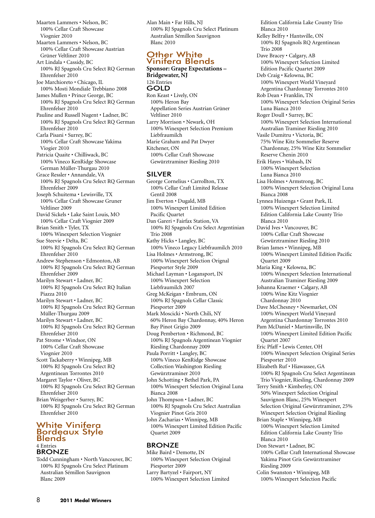Maarten Lammers • Nelson, BC 100% Cellar Craft Showcase Viognier 2010 Maarten Lammers • Nelson, BC 100% Cellar Craft Showcase Austrian Grüner Veltliner 2010 Art Lindala • Cassidy, BC 100% RJ Spagnols Cru Select RQ German Ehrenfelser 2010 Joe Marchioreto • Chicago, IL 100% Mosti Mondiale Trebbiano 2008 James Mullen • Prince George, BC 100% RJ Spagnols Cru Select RQ German Ehrenfelser 2010 Pauline and Russell Nugent • Ladner, BC 100% RJ Spagnols Cru Select RQ German Ehrenfelser 2010 Carla Pisani • Surrey, BC 100% Cellar Craft Showcase Yakima Viogier 2010 Patricia Quaite • Chilliwack, BC 100% Vineco KenRidge Showcase German Müller-Thurgau 2010 Grace Ressler • Annandale, VA 100% RJ Spagnols Cru Select RQ German Ehrenfelser 2009 Joseph Schuitema • Lewisville, TX 100% Cellar Craft Showcase Gruner Veltliner 2009 David Sickels • Lake Saint Louis, MO 100% Cellar Craft Viognier 2009 Brian Smith • Tyler, TX 100% Winexpert Selection Viognier Sue Steevie • Delta, BC 100% RJ Spagnols Cru Select RQ German Ehrenfelser 2010 Andrew Stephenson • Edmonton, AB 100% RJ Spagnols Cru Select RQ German Ehrenfelser 2009 Marilyn Stewart • Ladner, BC 100% RJ Spagnols Cru Select RQ Italian Piazza 2010 Marilyn Stewart • Ladner, BC 100% RJ Spagnols Cru Select RQ German Müller-Thurgau 2009 Marilyn Stewart • Ladner, BC 100% RJ Spagnols Cru Select RQ German Ehrenfelser 2010 Pat Strome • Windsor, ON 100% Cellar Craft Showcase Viognier 2010 Scott Tackaberry • Winnipeg, MB 100% RJ Spagnols Cru Select RQ Argentinean Torrontes 2010 Margaret Taylor • Oliver, BC 100% RJ Spagnols Cru Select RQ German Ehrenfelser 2010 Brian Weisgerber • Surrey, BC 100% RJ Spagnols Cru Select RQ German Ehrenfelser 2010 White Vinifera

## Bordeaux Style Blends 4 Entries

#### BRONZE

Todd Cunningham • North Vancouver, BC 100% RJ Spagnols Cru Select Platinum Australian Sémillon Sauvignon Blanc 2009

Alan Main • Far Hills, NJ 100% RJ Spagnols Cru Select Platinum Australian Sémillon Sauvignon Blanc 2010

#### Other White Vinifera Blends

**Sponsor: Grape Expectations – Bridgewater, NJ** 126 Entries GOLD Ron Keast • Lively, ON 100% Heron Bay Appellation Series Austrian Grüner Veltliner 2010 Larry Morrison • Newark, OH 100% Winexpert Selection Premium Liebfraumilch Marie Graham and Pat Dwyer Kitchener, ON 100% Cellar Craft Showcase Gewürztraminer Riesling 2010

#### SILVER

George Cornelius • Carrollton, TX 100% Cellar Craft Limited Release Gentil 2008 Jim Everton • Dugald, MB 100% Winexpert Limited Edition Pacific Quartet Dan Gareri • Fairfax Station, VA 100% RJ Spagnols Cru Select Argentinian Trio 2008 Kathy Hicks • Langley, BC 100% Vineco Legacy Liebfraumilch 2010 Lisa Holmes • Armstrong, BC 100% Winexpert Selection Orignal Piesporter Style 2009 Michael Layman • Logansport, IN 100% Winexpert Selection Liebfraumilch 2007 Greg McKeigan • Embrum, ON 100% RJ Spagnols Cellar Classic Piesporter 2009 Mark Moscicki • North Chili, NY 60% Heron Bay Chardonnay, 40% Heron Bay Pinot Grigio 2009 Doug Pemberton • Richmond, BC 100% RJ Spagnols Argentinean Viognier Riesling Chardonnay 2009 Paula Porritt • Langley, BC 100% Vineco KenRidge Showcase Collection Washington Riesling Gewürztraminer 2010 John Schotting • Bethel Park, PA 100% Winexpert Selection Original Luna Bianca 2008 John Thompson • Ladner, BC

100% RJ Spagnols Cru Select Australian Viognier Pinot Gris 2010 John Zacharias • Winnipeg, MB 100% Winexpert Limited Edition Pacific Quartet 2009

#### BRONZE

Mike Baird • Demotte, IN 100% Winexpert Selection Original Piesporter 2009 Larry Bartyzel • Fairport, NY 100% Winexpert Selection Limited

Edition California Lake County Trio Blanca 2010 Kelley Belfry • Hantsville, ON 100% RJ Spagnols RQ Argentinean Trio 2008 Dave Bracey • Calgary, AB 100% Winexpert Selection Limited Edition Pacific Quartet 2009 Deb Craig • Kelowna, BC 100% Winexpert World Vineyard Argentina Chardonnay Torrontes 2010 Rob Dean • Franklin, TN 100% Winexpert Selection Original Series Luna Bianca 2010 Roger Doull • Surrey, BC 100% Winexpert Selection International Australian Traminer Riesling 2010 Vasile Dumitru • Victoria, BC 75% Wine Kitz Sommelier Reserve Chardonnay, 25% Wine Kitz Sommelier Reserve Chenin 2010 Erik Hayes • Wabash, IN 100% Winexpert Selection Luna Bianca 2010 Lisa Holmes • Armstrong, BC 100% Winexpert Selection Original Luna Bianca 2008 Lynnea Huizenga • Grant Park, IL 100% Winexpert Selection Limited Edition California Lake County Trio Blanca 2010 David Ives • Vancouver, BC 100% Cellar Craft Showcase Gewürztraminer Riesling 2010 Brian James • Winnipeg, MB 100% Winexpert Limited Edition Pacific Quartet 2009 Maria King • Kelowna, BC 100% Winexpert Selection International Australian Traminer Riesling 2009 Johanna Kraemer • Calgary, AB 100% Wine Kitz Viognier Chardonnay 2010 Dave McChesney • Newmarket, ON 100% Winexpert World Vineyard Argentina Chardonnay Torrontes 2010 Pam McDaniel • Martinsville, IN 100% Winexpert Limited Edition Pacific Quartet 2007 Eric Pfaff • Lewis Center, OH 100% Winexpert Selection Original Series Piesporter 2010 Elizabeth Ruf • Hiawassee, GA 100% RJ Spagnols Cru Select Argentinean Trio Viognier, Riesling, Chardonnay 2009 Terry Smith • Kimberley, ON 50% Winexpert Selection Original Sauvignon Blanc, 25% Winexpert Selection Original Gewürztraminer, 25% Winexpert Selection Original Riesling Brian Staple • Winnipeg, MB 100% Winexpert Selection Limited Edition California Lake County Trio Blanca 2010 Don Stewart • Ladner, BC 100% Cellar Craft International Showcase Yakima Pinot Gris Gewürztraminer Riesling 2009 Colin Swanston • Winnipeg, MB 100% Winexpert Selection Pacific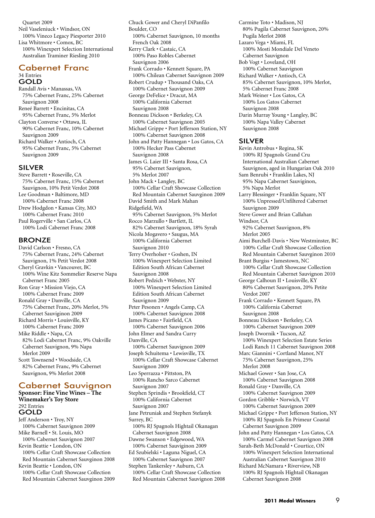Quartet 2009 Neil Vaseleniuck • Windsor, ON 100% Vineco Legacy Piesporter 2010 Lisa Whitmore • Comox, BC 100% Winexpert Selection International Australian Traminer Riesling 2010

#### Cabernet Franc 34 Entries GOLD

Randall Avis • Manassas, VA 75% Cabernet Franc, 25% Cabernet Sauvignon 2008 Reneé Barrett • Encinitas, CA 95% Cabernet Franc, 5% Merlot Clayton Converse • Ottawa, IL 90% Cabernet Franc, 10% Cabernet Sauvignon 2009 Richard Walker • Antioch, CA 95% Cabernet Franc, 5% Cabernet Sauvignon 2009

#### SILVER

Steve Barrett • Roseville, CA 75% Cabernet Franc, 15% Cabernet Sauvignon, 10% Petit Verdot 2008 Lee Goodman • Baltimore, MD 100% Cabernet Franc 2008 Drew Hodgdon • Kansas City, MO 100% Cabernet Franc 2010 Paul Rogerville • San Carlos, CA 100% Lodi Cabernet Franc 2008

#### **BRONZE**

- David Carlson Fresno, CA 75% Cabernet Franc, 24% Cabernet Sauvignon, 1% Petit Verdot 2008 Cheryl Gravkin • Vancouver, BC 100% Wine Kitz Sommelier Reserve Napa Cabernet Franc 2005 Ron Gray • Mission Viejo, CA 100% Cabernet Franc 2009 Ronald Gray • Danville, CA 75% Cabernet Franc, 20% Merlot, 5% Cabernet Sauviginon 2009 Richard Morris • Louisville, KY 100% Cabernet Franc 2009 Mike Riddle • Napa, CA 82% Lodi Cabernet Franc, 9% Oakville Cabernet Sauvignon, 9% Napa Merlot 2009 Scott Townsend • Woodside, CA
- 82% Cabernet Franc, 9% Cabernet Sauvignon, 9% Merlot 2008

## Cabernet Sauvignon

**Sponsor: Fine Vine Wines – The Winemaker's Toy Store** 292 Entries GOLD Jeff Anderson • Troy, NY 100% Cabernet Sauvignon 2009 Mike Barnell • St. Louis, MO 100% Cabernet Sauvignon 2007 Kevin Beattie • London, ON 100% Cellar Craft Showcase Collection Red Mountain Cabernet Sauvginon 2008 Kevin Beattie • London, ON 100% Cellar Craft Showcase Collection Red Mountain Cabernet Sauvginon 2009 Chuck Gower and Cheryl DiPanfilo Boulder, CO 100% Cabernet Sauvignon, 10 months French Oak 2008 Kerry Clark • Castaic, CA 100% Paso Robles Cabernet Sauvignon 2006 Frank Corrado • Kennett Square, PA 100% Chilean Cabernet Sauvignon 2009 Robert Crudup • Thousand Oaks, CA 100% Cabernet Sauvignon 2009 George DeFelice • Dracut, MA 100% California Cabernet Sauvignon 2008 Bonneau Dickson • Berkeley, CA 100% Cabernet Sauvignon 2005 Michael Grippe • Port Jefferson Station, NY 100% Cabernet Sauvignon 2008 John and Patty Hannegan • Los Gatos, CA 100% Hecker Pass Cabernet Sauvignon 2008 James G. Laier III • Santa Rosa, CA 95% Cabernet Sauvignon, 5% Merlot 2007 John Mack • Langley, BC 100% Cellar Craft Showcase Collection Red Mountain Cabernet Sauvginon 2009 David Smith and Mark Mahan Ridgefield, WA 95% Cabernet Sauvignon, 5% Merlot Rocco Marzullo • Bartlett, IL 82% Cabernet Sauvignon, 18% Syrah Nicola Mogavero • Saugus, MA 100% California Cabernet Sauvignon 2010 Terry Overholser • Goshen, IN 100% Winexpert Selection Limited Edition South African Cabernet Sauvignon 2008 Robert Pedzich • Webster, NY 100% Winexpert Selection Limited Edition South African Cabernet Sauvignon 2009 Peter Pesonen • Angels Camp, CA 100% Cabernet Sauvignon 2008 James Picano • Fairfield, CA 100% Cabernet Sauvignon 2006 John Elmer and Sandra Curry Danville, CA 100% Cabernet Sauvignon 2009 Joseph Schuitema • Lewisville, TX 100% Cellar Craft Showcase Cabernet Sauvignon 2009 Leo Sperrazza • Pittston, PA 100% Rancho Sarco Cabernet Sauvignon 2007 Stephen Sprindis • Brookfield, CT 100% California Cabernet Sauvignon 2007 Jane Petruniak and Stephen Stefanyk Surrey, BC 100% RJ Spagnols Hightail Okanagan Cabernet Sauvignon 2008 Dawne Swanson • Edgewood, WA 100% Cabernet Sauviginon 2009 Ed Szubielski • Laguna Niguel, CA 100% Cabernet Sauvignon 2007 Stephen Tankersley • Auburn, CA 100% Cellar Craft Showcase Collection Red Mountain Cabernet Sauvignon 2008

Carmine Toto • Madison, NJ 80% Pugila Cabernet Sauvignon, 20% Pugila Merlot 2008 Lazaro Vega • Miami, FL 100% Mosti Mondiale Del Veneto Cabernet Sauvignon Bob Vogt • Loveland, OH 100% Cabernet Sauvignon Richard Walker • Antioch, CA 85% Cabernet Sauvignon, 10% Merlot, 5% Cabernet Franc 2008 Mark Weiner • Los Gatos, CA 100% Los Gatos Cabernet Sauvignon 2008 Darin Murray Young • Langley, BC 100% Napa Valley Cabernet Sauvignon 2008 SILVER Kevin Antrobus • Regina, SK 100% RJ Spagnols Grand Cru

International Australian Cabernet Sauvignon, aged in Hungarian Oak 2010 Sam Benrubi • Franklin Lakes, NJ 95% Napa Cabernet Sauviginon, 5% Napa Merlot Larry Blessinger • Franklin Square, NY 100% Unpressed/Unfiltered Cabernet Sauvignon 2009 Steve Gower and Brian Callahan Windsor, CA 92% Cabernet Sauvignon, 8% Merlot 2005 Aimi Burchell-Davis • New Westminster, BC 100% Cellar Craft Showcase Collection Red Mountain Cabernet Sauvginon 2010 Brant Burgiss • Jamestown, NC 100% Cellar Craft Showcase Collection Red Mountain Cabernet Sauvignon 2010 George Calhoun II • Louisville, KY 80% Cabernet Sauvignon, 20% Petite Verdot 2007 Frank Corrado • Kennett Square, PA 100% California Cabernet Sauvignon 2008 Bonneau Dickson • Berkeley, CA 100% Cabernet Sauvignon 2009 Joseph Dwornik • Tucson, AZ 100% Winexpert Selection Estate Series Lodi Ranch 11 Cabernet Sauvignon 2008 Marc Giannini • Cortland Manor, NY 75% Cabernet Sauvignon, 25% Merlot 2008 Michael Gower • San Jose, CA 100% Cabernet Sauvignon 2008 Ronald Gray • Danville, CA 100% Cabernet Sauvignon 2009 Gordon Gribble • Norwich, VT 100% Cabernet Sauvignon 2009 Michael Grippe • Port Jefferson Station, NY 100% RJ Spagnols En Primeur Coastal Cabernet Sauvignon 2009 John and Patty Hannegan • Los Gatos, CA 100% Carmel Cabernet Sauvignon 2008 Sarah-Beth McDonald • Courtice, ON 100% Winexpert Selection International Australian Cabernet Sauvignon 2010 Richard McNamara • Riverview, NB 100% RJ Spagnols Hightail Okanagan

Cabernet Sauvignon 2008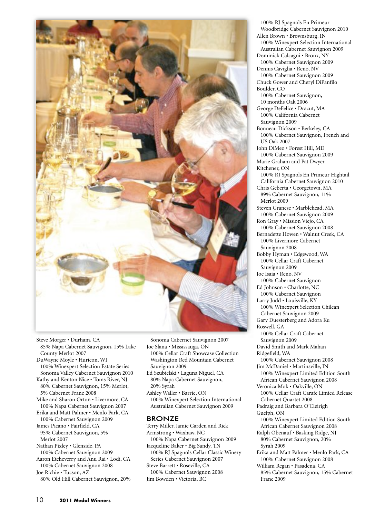

85% Napa Cabernet Sauvignon, 15% Lake County Merlot 2007 DuWayne Moyle • Huricon, WI 100% Winexpert Selection Estate Series Sonoma Valley Cabernet Sauvignon 2010 Kathy and Kenton Nice • Toms River, NJ 80% Cabernet Sauvignon, 15% Merlot, 5% Cabernet Franc 2008 Mike and Sharon Orton • Livermore, CA 100% Napa Cabernet Sauvignon 2007 Erika and Matt Palmer • Menlo Park, CA 100% Cabernet Sauvignon 2009 James Picano • Fairfield, CA 95% Cabernet Sauvignon, 5% Merlot 2007 Nathan Pixley • Glenside, PA 100% Cabernet Sauvignon 2009

Steve Morger • Durham, CA

Aaron Etcheverry and Anu Rai • Lodi, CA 100% Cabernet Sauvignon 2008

Joe Richie • Tucson, AZ 80% Old Hill Cabernet Sauvignon, 20%

Sonoma Cabernet Sauvignon 2007 Joe Slana • Mississauga, ON

100% Cellar Craft Showcase Collection Washington Red Mountain Cabernet Sauvignon 2009

- Ed Szubielski Laguna Niguel, CA 80% Napa Cabernet Sauvignon, 20% Syrah
- Ashley Waller Barrie, ON 100% Winexpert Selection International Australian Cabernet Sauvignon 2009

#### **BRONZE**

Terry Miller, Jamie Garden and Rick Armstrong • Waxhaw, NC 100% Napa Cabernet Sauvignon 2009

Jacqueline Baker • Big Sandy, TN 100% RJ Spagnols Cellar Classic Winery Series Cabernet Sauvignon 2007

Steve Barrett • Roseville, CA 100% Cabernet Sauvignon 2008 Jim Bowden • Victoria, BC

100% RJ Spagnols En Primeur Woodbridge Cabernet Sauvignon 2010 Allen Brown • Brownsburg, IN 100% Winexpert Selection International Australian Cabernet Sauvignon 2009 Dominick Calcagni • Bronx, NY 100% Cabernet Sauvignon 2009 Dennis Caviglia • Reno, NV 100% Cabernet Sauvignon 2009 Chuck Gower and Cheryl DiPanfilo Boulder, CO 100% Cabernet Sauvignon, 10 months Oak 2006 George DeFelice • Dracut, MA 100% California Cabernet Sauvignon 2009 Bonneau Dickson • Berkeley, CA 100% Cabernet Sauvignon, French and US Oak 2007 John DiMeo • Forest Hill, MD 100% Cabernet Sauvignon 2009 Marie Graham and Pat Dwyer Kitchener, ON 100% RJ Spagnols En Primeur Hightail California Cabernet Sauvignon 2010 Chris Geberta • Georgetown, MA 89% Cabernet Sauvignon, 11% Merlot 2009 Steven Granese • Marblehead, MA 100% Cabernet Sauvignon 2009 Ron Gray • Mission Viejo, CA 100% Cabernet Sauvignon 2008 Bernadette Howen • Walnut Creek, CA 100% Livermore Cabernet Sauvignon 2008 Bobby Hyman • Edgewood, WA 100% Cellar Craft Cabernet Sauvignon 2009 Joe Isaia • Reno, NV 100% Cabernet Sauvignon Ed Johnson • Charlotte, NC 100% Cabernet Sauvignon Larry Judd • Louisville, KY 100% Winexpert Selection Chilean Cabernet Sauvignon 2009 Gary Duesterberg and Adora Ku Roswell, GA 100% Cellar Craft Cabernet Sauvignon 2009 David Smith and Mark Mahan Ridgefield, WA 100% Cabernet Sauvignon 2008 Jim McDaniel • Martinsville, IN 100% Winexpert Limited Edition South African Cabernet Sauvignon 2008 Veronica Mok • Oakville, ON 100% Cellar Craft Carafe Limied Release Cabernet Quartet 2008 Padraig and Barbara O'Cleirigh Guelph, ON 100% Winexpert Limited Edition South African Cabernet Sauvignon 2008 Ralph Obenauf • Basking Ridge, NJ 80% Cabernet Sauvignon, 20% Syrah 2009 Erika and Matt Palmer • Menlo Park, CA 100% Cabernet Sauvignon 2008 William Regan • Pasadena, CA 85% Cabernet Sauvignon, 15% Cabernet Franc 2009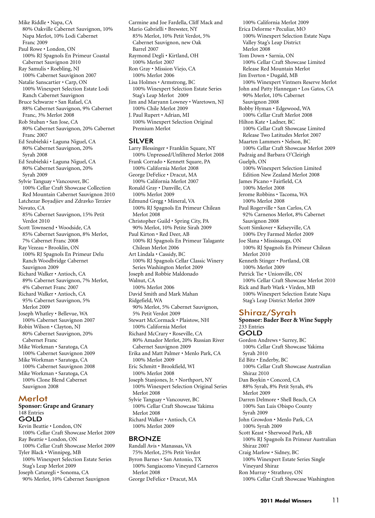Mike Riddle • Napa, CA 80% Oakville Cabernet Sauvignon, 10% Napa Merlot, 10% Lodi Cabernet Franc 2009 Paul Rowe • London, ON 100% RJ Spagnols En Primeur Coastal Cabernet Sauvignon 2010 Ray Samulis • Roebling, NJ 100% Cabernet Sauviginon 2007 Natalie Sanscartier • Carp, ON 100% Winexpert Selection Estate Lodi Ranch Cabernet Sauvignon Bruce Schwarze • San Rafael, CA 88% Cabernet Sauvignon, 9% Cabernet Franc, 3% Merlot 2008 Rob Stuban • San Jose, CA 80% Cabernet Sauvignon, 20% Cabernet Franc 2007 Ed Szubielski • Laguna Niguel, CA 80% Cabernet Sauvignon, 20% Syrah 2008 Ed Szubielski • Laguna Niguel, CA 80% Cabernet Sauvignon, 20% Syrah 2009 Sylvie Tanguay • Vancouver, BC 100% Cellar Craft Showcase Collection Red Mountain Cabernet Sauvignon 2010 Latchezar Boyadjiev and Zdravko Terziev Novato, CA 85% Cabernet Sauvignon, 15% Petit Verdot 2010 Scott Townsend • Woodside, CA 85% Cabernet Sauvignon, 8% Merlot, 7% Cabernet Franc 2008 Ray Vezeau • Brooklin, ON 100% RJ Spagnols En Primeur Delu Ranch Woodbridge Cabernet Sauvignon 2009 Richard Walker • Antioch, CA 89% Cabernet Sauvignon, 7% Merlot, 4% Cabernet Franc 2007 Richard Walker • Antioch, CA 95% Cabernet Sauvignon, 5% Merlot 2009 Joseph Whatley • Bellevue, WA 100% Cabernet Sauvignon 2007 Robin Wilson • Clayton, NJ 80% Cabernet Sauvignon, 20% Cabernet Franc Mike Workman • Saratoga, CA 100% Cabernet Sauvignon 2009 Mike Workman • Saratoga, CA 100% Cabernet Sauvignon 2008 Mike Workman • Saratoga, CA 100% Clone Blend Cabernet Sauvignon 2008 Merlot **Sponsor: Grape and Granary** 148 Entries GOLD

Kevin Beattie • London, ON 100% Cellar Craft Showcase Merlot 2009 Ray Beattie • London, ON 100% Cellar Craft Showcase Merlot 2009 Tyler Black • Winnipeg, MB 100% Winexpert Selection Estate Series

Stag's Leap Merlot 2009 Joseph Caturegli • Sonoma, CA

90% Merlot, 10% Cabernet Sauvignon

Carmine and Joe Fardella, Cliff Mack and Mario Gabrielli • Brewster, NY 85% Merlot, 10% Petit Verdot, 5% Cabernet Sauvignon, new Oak Barrel 2007 Raymond Degli • Kirtland, OH 100% Merlot 2007 Ron Gray • Mission Viejo, CA 100% Merlot 2006 Lisa Holmes • Armstrong, BC 100% Winexpert Selection Estate Series Stag's Leap Merlot 2009 Jim and Maryann Lowney • Waretown, NJ 100% Chile Merlot 2009 J. Paul Rupert • Adrian, MI 100% Winexpert Selection Original Premium Merlot

#### SILVER

Larry Blessinger • Franklin Square, NY 100% Unpressed/Unfiltered Merlot 2008 Frank Corrado • Kennett Square, PA 100% California Merlot 2008 George DeFelice • Dracut, MA 100% California Merlot 2007 Ronald Gray • Danville, CA 100% Merlot 2009 Edmund Gregg • Mineral, VA 100% RJ Spagnols En Primeur Chilean Merlot 2008 Christopher Guild • Spring City, PA 90% Merlot, 10% Petite Sirah 2009 Paul Kirton • Red Deer, AB 100% RJ Spagnols En Primeur Talagante Chilean Merlot 2006 Art Lindala • Cassidy, BC 100% RJ Spagnols Cellar Classic Winery Series Washington Merlot 2009 Joseph and Robbie Maldonado Walnut, CA 100% Merlot 2006 David Smith and Mark Mahan Ridgefield, WA 90% Merlot, 5% Cabernet Sauvignon, 5% Petit Verdot 2009 Stewart McCormack • Plaistow, NH 100% California Merlot Richard McCrary • Roseville, CA 80% Amador Merlot, 20% Russian River Cabernet Sauvignon 2009 Erika and Matt Palmer • Menlo Park, CA 100% Merlot 2009 Eric Schmitt • Brookfield, WI 100% Merlot 2008 Joseph Stanjones, Jr. • Northport, NY 100% Winexpert Selection Original Series Merlot 2008 Sylvie Tanguay • Vancouver, BC 100% Cellar Craft Showcase Yakima Merlot 2008 Richard Walker • Antioch, CA 100% Merlot 2009

#### **BRONZE**

Randall Avis • Manassas, VA 75% Merlot, 25% Petit Verdot Byron Barnes • San Antonio, TX 100% Sangiacomo Vineyard Carneros Merlot 2008 George DeFelice • Dracut, MA

100% California Merlot 2009 Erica Delorme • Peculiar, MO 100% Winexpert Selection Estate Napa Valley Stag's Leap District Merlot 2008 Tom Down • Sarnia, ON 100% Cellar Craft Showcase Limited Release Red Mountain Merlot Jim Everton • Dugald, MB 100% Winexpert Vintners Reserve Merlot John and Patty Hannegan • Los Gatos, CA 90% Merlot, 10% Cabernet Sauvignon 2008 Bobby Hyman • Edgewood, WA 100% Cellar Craft Merlot 2008 Hilton Kate • Ladner, BC 100% Cellar Craft Showcase Limited Release Two Latitudes Merlot 2007 Maarten Lammers • Nelson, BC 100% Cellar Craft Showcase Merlot 2009 Padraig and Barbara O'Cleirigh Guelph, ON 100% Winexpert Selection Limited Edition New Zealand Merlot 2008 James Picano • Fairfield, CA 100% Merlot 2008 Jerome Robbins • Tacoma, WA 100% Merlot 2008 Paul Rogerville • San Carlos, CA 92% Carnenos Merlot, 8% Cabernet Sauvignon 2008 Scott Simkover • Kelseyville, CA 100% Dry Farmed Merlot 2009 Joe Slana • Mississauga, ON 100% RJ Spagnols En Primeur Chilean Merlot 2010 Kenneth Stinger • Portland, OR 100% Merlot 2009 Patrick Tse • Unionville, ON 100% Cellar Craft Showcase Merlot 2010 Rick and Barb Wark • Virden, MB 100% Winexpert Selection Estate Napa Stag's Leap District Merlot 2009

#### Shiraz/Syrah

#### **Sponsor: Bader Beer & Wine Supply** 233 Entries GOLD

Gordon Andrews • Surrey, BC 100% Cellar Craft Showcase Yakima Syrah 2010 Ed Bitz • Enderby, BC 100% Cellar Craft Showcase Australian Shiraz 2010 Dan Boykin • Concord, CA 88% Syrah, 8% Petit Syrah, 4% Merlot 2009 Darren Delmore • Shell Beach, CA 100% San Luis Obispo County Syrah 2009 John Growdon • Menlo Park, CA 100% Syrah 2009 Scott Keast • Sherwood Park, AB 100% RJ Spagnols En Primeur Australian Shiraz 2007 Craig Marlow • Sidney, BC 100% Winexpert Estate Series Single Vineyard Shiraz Ron Murray • Strathroy, ON

100% Cellar Craft Showcase Washington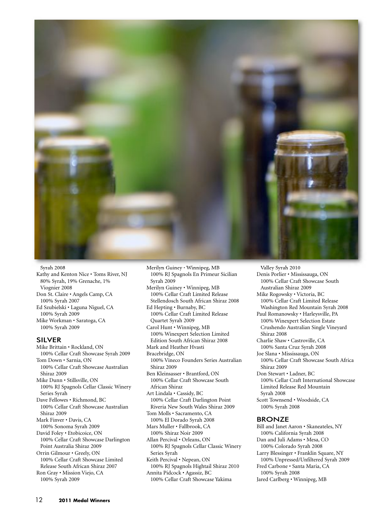

Syrah 2008

Kathy and Kenton Nice • Toms River, NJ 80% Syrah, 19% Grenache, 1% Viognier 2008 Don St. Claire • Angels Camp, CA 100% Syrah 2007 Ed Szubielski • Laguna Niguel, CA 100% Syrah 2009 Mike Workman • Saratoga, CA 100% Syrah 2009

#### SILVER

- Mike Brittain Rockland, ON 100% Cellar Craft Showcase Syrah 2009 Tom Down • Sarnia, ON 100% Cellar Craft Showcase Australian Shiraz 2009 Mike Dunn • Stillsville, ON 100% RJ Spagnols Cellar Classic Winery Series Syrah Dave Fellowes • Richmond, BC 100% Cellar Craft Showcase Australian Shiraz 2009 Mark Finver • Davis, CA 100% Sonoma Syrah 2009 David Foley • Etobicoice, ON 100% Cellar Craft Showcase Darlington Point Australia Shiraz 2009 Orrin Gilmour • Greely, ON 100% Cellar Craft Showcase Limited Release South African Shiraz 2007 Ron Gray • Mission Viejo, CA 100% Syrah 2009
- Merilyn Guiney Winnipeg, MB 100% RJ Spagnols En Primeur Sicilian Syrah 2009 Merilyn Guiney • Winnipeg, MB 100% Cellar Craft Limited Release Stellendosch South African Shiraz 2008 Ed Hepting • Burnaby, BC 100% Cellar Craft Limited Release Quartet Syrah 2009 Carol Hunt • Winnipeg, MB 100% Winexpert Selection Limited Edition South African Shiraz 2008 Mark and Heather Hvasti Bracebridge, ON 100% Vineco Founders Series Australian Shiraz 2009 Ben Kleinsasser • Brantford, ON 100% Cellar Craft Showcase South African Shiraz Art Lindala • Cassidy, BC 100% Cellar Craft Darlington Point Riveria New South Wales Shiraz 2009 Tom Molls • Sacramento, CA 100% El Dorado Syrah 2008 Mars Muller • Fallbrook, CA 100% Shiraz Noir 2009 Allan Percival • Orleans, ON 100% RJ Spagnols Cellar Classic Winery Series Syrah Keith Percival • Nepean, ON 100% RJ Spagnols Hightail Shiraz 2010 Annita Pidcock • Agassiz, BC 100% Cellar Craft Showcase Yakima

Valley Syrah 2010 Denis Porlier • Mississauga, ON 100% Cellar Craft Showcase South Australian Shiraz 2009 Mike Rogowsky • Victoria, BC 100% Cellar Craft Limited Release Washington Red Mountain Syrah 2008 Paul Romanowsky • Harleysville, PA 100% Winexpert Selection Estate Crushendo Australian Single Vineyard Shiraz 2008 Charlie Shaw • Castroville, CA 100% Santa Cruz Syrah 2008 Joe Slana • Mississauga, ON 100% Cellar Craft Showcase South Africa Shiraz 2009 Don Stewart • Ladner, BC 100% Cellar Craft International Showcase Limited Release Red Mountain Syrah 2008 Scott Townsend • Woodside, CA 100% Syrah 2008 BRONZE Bill and Janet Aaron • Skaneateles, NY 100% California Syrah 2008 Dan and Juli Adams • Mesa, CO 100% Colorado Syrah 2008 Larry Blessinger • Franklin Square, NY

- 100% Unpressed/Unfiltered Syrah 2009 Fred Carbone • Santa Maria, CA
- 100% Syrah 2008
- Jared Carlberg Winnipeg, MB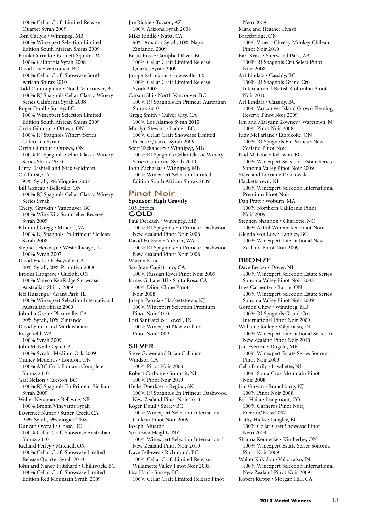100% Cellar Craft Limited Release Quartet Syrah 2009 Tom Carlyle • Winnipeg, MB 100% Winexpert Selection Limited Edition South African Shiraz 2009 Frank Corrado • Kennett Square, PA 100% California Syrah 2008 David Cui • Vancouver, BC 100% Cellar Craft Showcase South African Shiraz 2010 Todd Cunningham • North Vancouver, BC 100% RJ Spagnols Cellar Classic Winery Series California Syrah 2008 Roger Doull • Surrey, BC 100% Winexpert Selection Limited Edition South African Shiraz 2009 Orrin Gilmour • Ottawa, ON 100% RJ Spagnols Winery Series California Syrah Orrin Gilmour • Ottawa, ON 100% RJ Spagnols Cellar Classic Winery Series Shiraz 2010 Larry Dashiell and Nick Goldman Oakhurst, CA 95% Syrah, 5% Viognier 2007 Bill Goneau • Belleville, ON 100% RJ Spagnols Cellar Classic Winery Series Syrah Cheryl Gravkin • Vancouver, BC 100% Wine Kitz Sommelier Reserve Syrah 2009 Edmund Gregg • Mineral, VA 100% RJ Spagnols En Primeur Sicilean Syrah 2008 Stephen Heike, Jr. • West Chicago, IL 100% Syrah 2007 David Hicks • Kelseyville, CA 80% Syrah, 20% Primitivo 2008 Brooks Hipgrave • Guelph, ON 100% Vineco KenRidge Showcase Australian Shiraz 2009 Jeff Huizenga • Grant Park, IL 100% Winexpert Selection International Australian Shiraz 2009 John La Grou • Placerville, CA 90% Syrah, 10% Zinfandel David Smith and Mark Mahan Ridgefield, WA 100% Syrah 2009 John McNeil • Ojai, CA 100% Syrah, Medium Oak 2009 Quincy Medeiros • London, ON 100% ABC Cork Fontana Complete Shiraz 2010 Gail Nelson • Creston, BC 100% RJ Spagnols En Primeur Sicilian Syrah 2009 Walter Neneman • Bellevue, NE 100% Brehm Vineyards Syrah Lawrence Nutter • Sutter Creek, CA 95% Syrah, 5% Viogier 2008 Duncan Overall • Chase, BC 100% Cellar Craft Showcase Australian Shiraz 2010 Richard Perley • Mitchell, ON 100% Cellar Craft Showcase Limited Release Quartet Syrah 2010 John and Nancy Pritchard • Chilliwack, BC 100% Cellar Craft Showcase Limited Edition Red Mountain Syrah 2009

Joe Richie • Tucson, AZ 100% Arizona Syrah 2008 Mike Riddle • Napa, CA 90% Amador Syrah, 10% Napa Zinfandel 2009 Brian Ross • Campbell River, BC 100% Cellar Craft Limited Release Quartet Syrah 2009 Joseph Schuitema • Lewisville, TX 100% Cellar Craft Limited Release Syrah 2007 Carson Shi • North Vancouver, BC 100% RJ Spagnols En Primeur Australian Shiraz 2010 Gregg Smith • Culver City, CA 100% Los Alamos Syrah 2010 Marilyn Stewart • Ladner, BC 100% Cellar Craft Showcase Limited Release Quartet Syrah 2009 Scott Tackaberry • Winnipeg, MB 100% RJ Spagnols Cellar Classic Winery Series California Syrah 2010 John Zacharias • Winnipeg, MB 100% Winexpert Selection Limited Edition South African Shiraz 2009

#### Pinot Noir

**Sponsor: High Gravity** 103 Entries GOLD Paul Derkach • Winnipeg, MB 100% RJ Spagnols En Primeur Dashwood New Zealand Pinot Noir 2008 David Hobson • Auburn, WA 100% RJ Spagnols En Primeur Dashwood New Zealand Pinot Noir 2008 Warren Kane San Juan Capistrano, CA 100% Russian River Pinot Noir 2009 James G. Laier III • Santa Rosa, CA 100% Dijon Clone Pinot Noir 2008 Joseph Pannia • Hackettstown, NJ 100% Winexpert Selection Premium Pinot Noir 2010 Lori Sanfratello • Lowell, IN 100% Winexpert New Zealand Pinot Noir 2009

#### SILVER

Steve Gower and Brian Callahan Windsor, CA 100% Pinot Noir 2008 Robert Carbone • Summit, NJ 100% Pinot Noir 2010 Heike Doerksen • Regina, SK 100% RJ Spagnols En Primeur Dashwood New Zealand Pinot Noir 2010 Roger Doull • Surrey BC 100% Winexpert Selection International Chilean Pinot Noir 2009 Joseph Eduardo Yorktown Heights, NY 100% Winexpert Selection International New Zealand Pinot Noir 2010 Dave Fellowes • Richmond, BC 100% Cellar Craft Limited Release Willamette Valley Pinot Noir 2005 Lisa Haaf • Surrey, BC 100% Cellar Craft Limited Release Pinot

Nero 2009 Mark and Heather Hvasti Bracebridge, ON 100% Vineco Cheeky Monkey Chilean Pinot Noir 2010 Earl Keast • Sherwood Park, AB 100% RJ Spagnols Cru Select Pinot Noir 2008 Art Lindala • Cassidy, BC 100% RJ Spagnols Grand Cru International British Columbia Pinot Noir 2010 Art Lindala • Cassidy, BC 100% Vancouver Island Grown Fleming Reserve Pinot Noir 2009 Jim and Maryann Lowney • Waretown, NJ 100% Pinot Noir 2008 Judy McFarlane • Etobicoke, ON 100% RJ Spagnols En Primeur New Zealand Pinot Noir Rod McLeod • Kelowna, BC 100% Winexpert Selection Estate Series Sonoma Valley Pinot Noir 2009 Steve and Lorraine Polakowski Hackettstown, NJ 100% Winexpert Selection International Premium Pinot Noir Dan Pratt • Woburn, MA 100% Northern California Pinot Noir 2009 Stephen Shannon • Charlotte, NC 100% Artful Winemaker Pinot Noir Glenda Von Euw • Langley, BC 100% Winexpert International New Zealand Pinot Noir 2009 BRONZE Dave Becker • Dover, NJ 100% Winexpert Selection Estate Series Sonoma Valley Pinot Noir 2008 Inge Carpenter • Barrie, ON

- 100% Winexpert Selection Estate Series Sonoma Valley Pinot Noir 2009
- Gordon Chew Winnipeg, MB 100% RJ Spagnols Grand Cru International Pinot Noir 2009
- William Cooley Valparaiso, IN 100% Winexpert International Selection New Zealand Pinot Noir 2010
- Jim Everton Dugald, MB 100% Winexpert Estate Series Sonoma Pinot Noir 2009
- Cella Family Lavallette, NJ 100% Santa Cruz Mountain Pinot Noir 2008
- Jim Girvan Branchburg, NJ 100% Pinot Noir 2008
- Eric Haila Longmont, CO 100% Carneros Pinot Noir, Freerun/Press 2007
- Kathy Hicks Langley, BC 100% Cellar Craft Showcase Pinot Nero 2009
- Shauna Keunecke Kimberley, ON 100% Winexpert Estate Series Sonoma Pinot Noir 2009

Walter Kokidko • Valparaiso, IN 100% Winexpert Selection International New Zealand Pinot Noir 2009 Robert Kupps • Morgan Hill, CA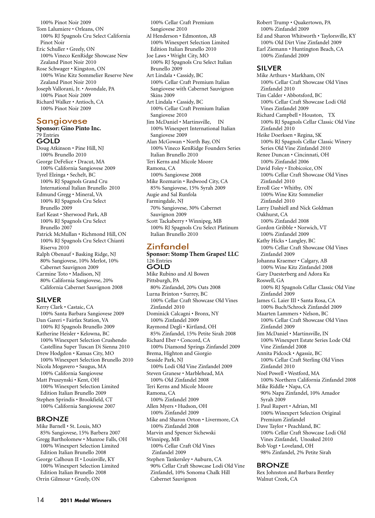100% Pinot Noir 2009 Tom Lalumiere • Orleans, ON 100% RJ Spagnols Cru Select California Pinot Noir Eric Schuller • Greely, ON 100% Vineco KenRidge Showcase New Zealand Pinot Noir 2010 Rose Schwager • Kingston, ON 100% Wine Kitz Sommelier Reserve New Zealand Pinot Noir 2010 Joseph Vallorani, Jr. • Avondale, PA 100% Pinot Noir 2009 Richard Walker • Antioch, CA 100% Pinot Noir 2009

## Sangiovese

**Sponsor: Gino Pinto Inc.** 79 Entries GOLD

Doug Atkinson • Pine Hill, NJ 100% Brunello 2010 George DeFelice • Dracut, MA 100% California Sangiovese 2009 Tyrel Elzinga • Sechelt, BC 100% RJ Spagnols Grand Cru International Italian Brunello 2010 Edmund Gregg • Mineral, VA 100% RJ Spagnols Cru Select Brunello 2009 Earl Keast • Sherwood Park, AB 100% RJ Spagnols Cru Select Brunello 2007 Patrick McMullan • Richmond Hill, ON 100% RJ Spagnols Cru Select Chianti Riserva 2010 Ralph Obenauf • Basking Ridge, NJ

80% Sangiovese, 10% Merlot, 10% Cabernet Sauvignon 2009 Carmine Toto • Madison, NJ

80% California Sangiovese, 20% California Cabernet Sauvignon 2008

#### SILVER

Kerry Clark • Castaic, CA 100% Santa Barbara Sangiovese 2009 Dan Gareri • Fairfax Station, VA 100% RJ Spagnols Brunello 2009 Katherine Heisler • Kelowna, BC 100% Winexpert Selection Crushendo Castellina Super Tuscan Di Sienna 2010 Drew Hodgdon • Kansas City, MO 100% Winexpert Selection Brunello 2010 Nicola Mogavero • Saugus, MA 100% California Sangiovese Matt Pruszynski • Kent, OH 100% Winexpert Selection Limited Edition Italian Brunello 2009 Stephen Sprindis • Brookfield, CT 100% California Sangiovese 2007

#### BRONZE

Mike Barnell • St. Louis, MO 85% Sangiovese, 15% Barbera 2007 Gregg Bartholomew • Munroe Falls, OH 100% Winexpert Selection Limited Edition Italian Brunello 2008 George Calhoun II • Louisville, KY 100% Winexpert Selection Limited Edition Italian Brunello 2008 Orrin Gilmour • Greely, ON

100% Cellar Craft Premium Sangiovese 2010

- Al Henderson Edmonton, AB 100% Winexpert Selection Limited Edition Italian Brunello 2010
- Joe Laws Wright City, MO 100% RJ Spagnols Cru Select Italian Brunello 2009
- Art Lindala Cassidy, BC 100% Cellar Craft Premium Italian Sangiovese with Cabernet Sauvignon Skins 2009
- Art Lindala Cassidy, BC 100% Cellar Craft Premium Italian Sangiovese 2010
- Jim McDaniel Martinsville, IN 100% Winexpert International Italian Sangiovese 2009 Alan McGowan • North Bay, ON 100% Vineco KenRidge Founders Series Italian Brunello 2010 Teri Kerns and Micole Moore Ramona, CA
- 100% Sangiovese 2008 Mike Rozmarin • Redwood City, CA
- 85% Sangiovese, 15% Syrah 2009 Augie and Sal Runfola
- Farmingdale, NJ
- 70% Sangiovese, 30% Cabernet Sauvignon 2009 Scott Tackaberry • Winnipeg, MB
- 100% RJ Spagnols Cru Select Platinum Italian Brunello 2010

## Zinfandel

**Sponsor: Stomp Them Grapes! LLC** 126 Entries GOLD Mike Rubino and Al Bowen Pittsburgh, PA 80% Zinfandel, 20% Oats 2008

Lurna Brinton • Surrey, BC 100% Cellar Craft Showcase Old Vines Zinfandel 2010 Dominick Calcagni • Bronx, NY 100% Zinfandel 2009 Raymond Degli • Kirtland, OH 85% Zinfandel, 15% Petite Sirah 2008 Richard Eber • Concord, CA 100% Diamond Springs Zinfandel 2009 Brema, Highton and Giorgio Seaside Park, NJ 100% Lodi Old Vine Zinfandel 2009 Steven Granese • Marblehead, MA 100% Old Zinfandel 2008 Teri Kerns and Micole Moore Ramona, CA 100% Zinfandel 2009 Allen Myers • Hudson, OH 100% Zinfandel 2009 Mike and Sharon Orton • Livermore, CA 100% Zinfandel 2008 Marvin and Spencer Sichewski Winnipeg, MB 100% Cellar Craft Old Vines Zinfandel 2009 Stephen Tankersley • Auburn, CA 90% Cellar Craft Showcase Lodi Old Vine Zinfandel, 10% Sonoma Chalk Hill

Cabernet Sauvignon

Robert Trump • Quakertown, PA 100% Zinfandel 2009 Ed and Sharon Whitworth • Taylorsville, KY 100% Old Dirt Vine Zinfandel 2009 Earl Ziemann • Huntington Beach, CA 100% Zinfandel 2009 SILVER Mike Arthurs • Markham, ON 100% Cellar Craft Showcase Old Vines Zinfandel 2010 Tim Calder • Abbotsford, BC 100% Cellar Craft Showcase Lodi Old Vines Zinfandel 2009 Richard Campbell • Houston, TX 100% RJ Spagnols Cellar Classic Old Vine Zinfandel 2010 Heike Doerksen • Regina, SK 100% RJ Spagnols Cellar Classic Winery Series Old Vine Zinfandel 2010 Renee Duncan • Cincinnati, OH 100% Zinfandel 2006 David Foley • Etobicoice, ON 100% Cellar Craft Showcase Old Vines Zinfandel 2010 Erroll Gee • Whitby, ON 100% Wine Kitz Sommelier Zinfandel 2010 Larry Dashiell and Nick Goldman Oakhurst, CA 100% Zinfandel 2008 Gordon Gribble • Norwich, VT 100% Zinfandel 2009 Kathy Hicks • Langley, BC 100% Cellar Craft Showcase Old Vines Zinfandel 2009 Johanna Kraemer • Calgary, AB 100% Wine Kitz Zinfandel 2008 Gary Duesterberg and Adora Ku Roswell, GA 100% RJ Spagnols Cellar Classic Old Vine Zinfandel 2009 James G. Laier III • Santa Rosa, CA 100% Buch/Schrock Zinfandel 2009 Maarten Lammers • Nelson, BC 100% Cellar Craft Showcase Old Vines Zinfandel 2009 Jim McDaniel • Martinsville, IN 100% Winexpert Estate Series Lode Old Vine Zinfandel 2008 Annita Pidcock • Agassiz, BC 100% Cellar Craft Sterling Old Vines Zinfandel 2010 Noel Powell • Westford, MA 100% Northern California Zinfandel 2008 Mike Riddle • Napa, CA 90% Napa Zinfandel, 10% Amador Syrah 2009 J. Paul Rupert • Adrian, MI 100% Winexpert Selection Original Premium Zinfandel Dave Taylor • Peachland, BC 100% Cellar Craft Showcase Lodi Old Vines Zinfandel, Unoaked 2010 Bob Vogt • Loveland, OH 98% Zinfandel, 2% Petite Sirah BRONZE

Rex Johnston and Barbara Bentley Walnut Creek, CA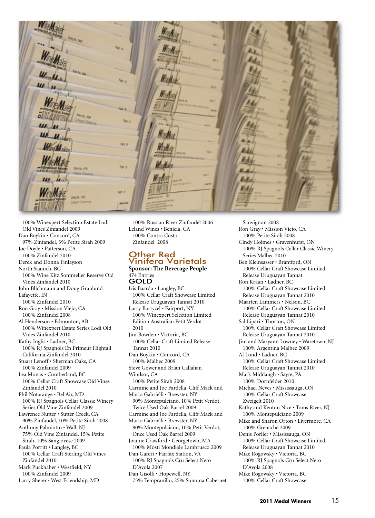**Parcia cost** 

100% Winexpert Selection Estate Lodi Old Vines Zinfandel 2009 Dan Boykin • Concord, CA 97% Zinfandel, 3% Petite Sirah 2009 Joe Doyle • Patterson, CA 100% Zinfandel 2010 Derek and Donna Finlayson North Saanich, BC 100% Wine Kitz Sommelier Reserve Old Vines Zinfandel 2010 John Blichmann and Doug Granlund Lafayette, IN 100% Zinfandel 2010 Ron Gray • Mission Viejo, CA 100% Zinfandel 2008 Al Henderson • Edmonton, AB 100% Winexpert Estate Series Lodi Old Vines Zinfandel 2010 Kathy Inglis • Ladner, BC 100% RJ Spagnols En Primeur Hightail California Zinfandel 2010 Stuart Lenoff • Sherman Oaks, CA 100% Zinfandel 2009 Lea Monas • Cumberland, BC 100% Cellar Craft Showcase Old Vines Zinfandel 2010 Phil Notarange • Bel Air, MD 100% RJ Spagnols Cellar Classic Winery Series Old Vine Zinfandel 2009 Lawrence Nutter • Sutter Creek, CA 90% Zinfandel, 10% Petite Sirah 2008 Anthony Palmiotto • Wall, NJ 75% Old Vine Zinfandel, 15% Petite Sirah, 10% Sangiovese 2009 Paula Porritt • Langley, BC 100% Cellar Craft Sterling Old Vines Zinfandel 2010 Mark Puckhaber • Westfield, NY 100% Zinfandel 2009 Larry Sherer • West Friendship, MD

100% Russian River Zinfandel 2006 Leland Wines • Benicia, CA 100% Contra Costa Zinfandel 2008

#### Other Red Vinifera Varietals **Sponsor: The Beverage People**

#### 474 Entries GOLD

Iris Baarda • Langley, BC 100% Cellar Craft Showcase Limited Release Uruguayan Tannat 2010 Larry Bartyzel • Fairport, NY 100% Winexpert Selection Limited Edition Australian Petit Verdot 2010 Jim Bowden • Victoria, BC 100% Cellar Craft Limited Release Tannat 2010 Dan Boykin • Concord, CA 100% Malbec 2009 Steve Gower and Brian Callahan Windsor, CA 100% Petite Sirah 2008 Carmine and Joe Fardella, Cliff Mack and Mario Gabrielli • Brewster, NY 90% Montepulciano, 10% Petit Verdot, Twice Used Oak Barrel 2009 Carmine and Joe Fardella, Cliff Mack and Mario Gabrielli • Brewster, NY 90% Montepulciano, 10% Petit Verdot, Once Used Oak Barrel 2009 Joanne Crawford • Georgetown, MA 100% Mosti Mondiale Lambrusco 2009 Dan Gareri • Fairfax Station, VA 100% RJ Spagnols Cru Select Nero D'Avola 2007 Dan Gisolfi • Hopewell, NY 75% Tempranillo, 25% Sonoma Cabernet

Sauvignon 2008 Ron Gray • Mission Viejo, CA 100% Petite Sirah 2008 Cindy Holmes • Gravenhurst, ON 100% RJ Spagnols Cellar Classic Winery Series Malbec 2010 Ben Kleinsasser • Brantford, ON 100% Cellar Craft Showcase Limited Release Uruguayan Tannat Ron Kraan • Ladner, BC 100% Cellar Craft Showcase Limited Release Uruguayan Tannat 2010 Maarten Lammers • Nelson, BC 100% Cellar Craft Showcase Limited Release Uruguayan Tannat 2010 Sal Lipari • Thorton, ON 100% Cellar Craft Showcase Limited Release Uruguayan Tannat 2010 Jim and Maryann Lowney • Waretown, NJ 100% Argentina Malbec 2009 Al Lund • Ladner, BC 100% Cellar Craft Showcase Limited Release Uruguayan Tannat 2010 Mark Middaugh • Sayre, PA 100% Dornfelder 2010 Michael Neves • Mississauga, ON 100% Cellar Craft Showcase Zweigelt 2010 Kathy and Kenton Nice • Toms River, NJ 100% Montepulciano 2009 Mike and Sharon Orton • Livermore, CA 100% Grenache 2009 Denis Porlier • Mississauga, ON 100% Cellar Craft Showcase Limited Release Uruguayan Tannat 2010 Mike Rogowsky • Victoria, BC 100% RJ Spagnols Cru Select Nero D'Avola 2008 Mike Rogowsky • Victoria, BC 100% Cellar Craft Showcase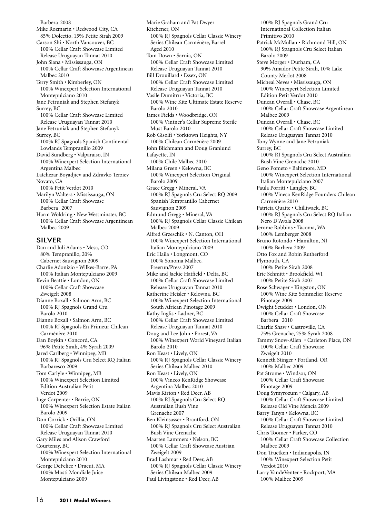Barbera 2008 Mike Rozmarin • Redwood City, CA 85% Dolcetto, 15% Petite Sirah 2009 Carson Shi • North Vancouver, BC 100% Cellar Craft Showcase Limited Release Uruguayan Tannat 2010 John Slana • Mississauga, ON 100% Cellar Craft Showcase Argentinean Malbec 2010 Terry Smith • Kimberley, ON 100% Winexpert Selection International Montepulciano 2010 Jane Petruniak and Stephen Stefanyk Surrey, BC 100% Cellar Craft Showcase Limited Release Uruguayan Tannat 2010 Jane Petruniak and Stephen Stefanyk Surrey, BC 100% RJ Spagnols Spanish Continental Lowlands Tempranillo 2009 David Sundberg • Valparaiso, IN 100% Winexpert Selection International Argentina Malbec Latchezar Boyadjiev and Zdravko Terziev Novato, CA 100% Petit Verdot 2010 Marilyn Walters • Mississauga, ON 100% Cellar Craft Showcase Barbera 2007 Harm Woldring • New Westminster, BC 100% Cellar Craft Showcase Argentinean Malbec 2009

#### SILVER

Dan and Juli Adams • Mesa, CO 80% Tempranillo, 20% Cabernet Sauvignon 2009 Charlie Adonizio • Wilkes-Barre, PA 100% Italian Montepulciano 2009 Kevin Beattie • London, ON 100% Cellar Craft Showcase Zweigelt 2008 Dianne Boxall • Salmon Arm, BC 100% RJ Spagnols Grand Cru Barolo 2010 Dianne Boxall • Salmon Arm, BC 100% RJ Spagnols En Primeur Chilean Carménère 2010 Dan Boykin • Concord, CA 96% Petite Sirah, 4% Syrah 2009 Jared Carlberg • Winnipeg, MB 100% RJ Spagnols Cru Select RQ Italian Barbaresco 2009 Tom Carlyle • Winnipeg, MB 100% Winexpert Selection Limited Edition Australian Petit Verdot 2009 Inge Carpenter • Barrie, ON 100% Winexpert Selection Estate Italian Barolo 2009 Don Corrick • Orillia, ON 100% Cellar Craft Showcase Limited Release Uruguayan Tannat 2010 Gary Miles and Alison Crawford Courtenay, BC 100% Winexpert Selection International Montepulciano 2010 George DeFelice • Dracut, MA 100% Mosti Mondiale Juice Montepulciano 2009

Marie Graham and Pat Dwyer Kitchener, ON 100% RJ Spagnols Cellar Classic Winery Series Chilean Carménère, Barrel Aged 2010 Tom Down • Sarnia, ON 100% Cellar Craft Showcase Limited Release Uruguayan Tannat 2010 Bill Drouillard • Essex, ON 100% Cellar Craft Showcase Limited Release Uruguayan Tannat 2010 Vasile Dumitru • Victoria, BC 100% Wine Kitz Ultimate Estate Reserve Barolo 2010 James Fields • Woodbridge, ON 100% Vintner's Cellar Supreme Sterile Must Barolo 2010 Rob Gisolfi • Yorktown Heights, NY 100% Chilean Carménère 2009 John Blichmann and Doug Granlund Lafayette, IN 100% Chile Malbec 2010 Milana Green • Kelowna, BC 100% Winexpert Selection Original Barolo 2009 Grace Gregg • Mineral, VA 100% RJ Spagnols Cru Select RQ 2009 Spanish Tempranillo Cabernet Sauvignon 2009 Edmund Gregg • Mineral, VA 100% RJ Spagnols Cellar Classic Chilean Malbec 2009 Alfred Grzeschik • N. Canton, OH 100% Winexpert Selection International Italian Montepulciano 2009 Eric Haila • Longmont, CO 100% Sonoma Malbec, Freerun/Press 2007 Mike and Jackie Hatfield • Delta, BC 100% Cellar Craft Showcase Limited Release Uruguayan Tannat 2010 Katherine Heisler • Kelowna, BC 100% Winexpert Selection International South African Pinotage 2009 Kathy Inglis • Ladner, BC 100% Cellar Craft Showcase Limited Release Uruguayan Tannat 2010 Doug and Lee John • Forest, VA 100% Winexpert World Vineyard Italian Barolo 2010 Ron Keast • Lively, ON 100% RJ Spagnols Cellar Classic Winery Series Chilean Malbec 2010 Ron Keast • Lively, ON 100% Vineco KenRidge Showcase Argentina Malbec 2010 Mavis Kirton • Red Deer, AB 100% RJ Spagnols Cru Select RQ Australian Bush Vine Grenache 2007 Ben Kleinsasser • Brantford, ON 100% RJ Spagnols Cru Select Australian Bush Vine Grenache Maarten Lammers • Nelson, BC 100% Cellar Craft Showcase Austrian Zweigelt 2009 Brad Lashmar • Red Deer, AB 100% RJ Spagnols Cellar Classic Winery Series Chilean Malbec 2009 Paul Livingstone • Red Deer, AB

100% RJ Spagnols Grand Cru Internatinoal Collection Italian Primitivo 2010 Patrick McMullan • Richmond Hill, ON 100% RJ Spagnols Cru Select Italian Barolo 2009 Steve Morger • Durham, CA 90% Amador Petite Sirah, 10% Lake County Merlot 2008 Micheal Neves • Mississauga, ON 100% Winexpert Selection Limited Edition Petit Verdot 2010 Duncan Overall • Chase, BC 100% Cellar Craft Showcase Argentinean Malbec 2009 Duncan Overall • Chase, BC 100% Cellar Craft Showcase Limited Release Uruguayan Tannat 2010 Tony Wynne and Jane Petruniak Surrey, BC 100% RJ Spagnols Cru Select Australian Bush Vine Grenache 2010 Geno Pometo • Baltimore, MD 100% Winexpert Selection International Italian Montepulciano 2007 Paula Porritt • Langley, BC 100% Vineco KenRidge Founders Chilean Carménère 2010 Patricia Quaite • Chilliwack, BC 100% RJ Spagnols Cru Select RQ Italian Nero D'Avola 2008 Jerome Robbins • Tacoma, WA 100% Lemberger 2008 Bruno Rotondo • Hamilton, NJ 100% Barbera 2009 Otto Fox and Robin Rutherford Plymouth, CA 100% Petite Sirah 2008 Eric Schmitt • Brookfield, WI 100% Petite Sirah 2007 Rose Schwager • Kingston, ON 100% Wine Kitz Sommelier Reserve Pinotage 2009 Dwight Scudder • London, ON 100% Cellar Craft Showcase Barbera 2010 Charlie Shaw • Castroville, CA 75% Grenache, 25% Syrah 2008 Tammy Snow-Allen • Carleton Place, ON 100% Cellar Craft Showcase Zweigelt 2010 Kenneth Stinger • Portland, OR 100% Malbec 2009 Pat Strome • Windsor, ON 100% Cellar Craft Showcase Pinotage 2009 Doug Symyrozum • Calgary, AB 100% Cellar Craft Showcase Limited Release Old Vine Mencia 2009 Barry Tanyn • Kelowna, BC 100% Cellar Craft Showcase Limited Release Uruguayan Tannat 2010 Chris Toomer • Parker, CO 100% Cellar Craft Showcase Collection Malbec 2009 Don Truetken • Indianapolis, IN 100% Winexpert Selection Petit Verdot 2010 Larry VandeVenter • Rockport, MA 100% Malbec 2009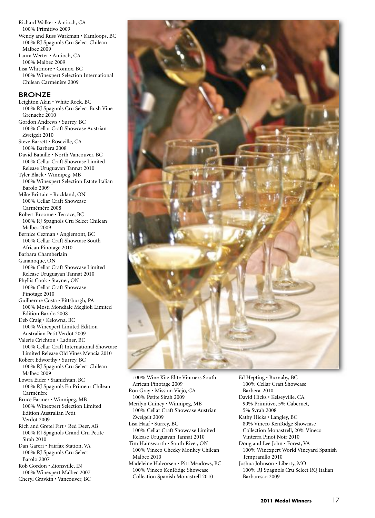Richard Walker • Antioch, CA 100% Primitivo 2009 Wendy and Russ Warkman • Kamloops, BC 100% RJ Spagnols Cru Select Chilean Malbec 2009 Laura Werter • Antioch, CA 100% Malbec 2009 Lisa Whitmore • Comox, BC 100% Winexpert Selection International Chilean Carménère 2009

#### BRONZE

Leighton Akin • White Rock, BC 100% RJ Spagnols Cru Select Bush Vine Grenache 2010 Gordon Andrews • Surrey, BC 100% Cellar Craft Showcase Austrian Zweigelt 2010 Steve Barrett • Roseville, CA 100% Barbera 2008 David Bataille • North Vancouver, BC 100% Cellar Craft Showcase Limited Release Uruguayan Tannat 2010 Tyler Black • Winnipeg, MB 100% Winexpert Selection Estate Italian Barolo 2009 Mike Brittain • Rockland, ON 100% Cellar Craft Showcase Carmémère 2008 Robert Broome • Terrace, BC 100% RJ Spagnols Cru Select Chilean Malbec 2009 Bernice Cezman • Anglemont, BC 100% Cellar Craft Showcase South African Pinotage 2010 Barbara Chamberlain Gananoque, ON 100% Cellar Craft Showcase Limited Release Uruguayan Tannat 2010 Phyllis Cook • Stayner, ON 100% Cellar Craft Showcase Pinotage 2010 Guilherme Costa • Pittsburgh, PA 100% Mosti Mondiale Meglioli Limited Edition Barolo 2008 Deb Craig • Kelowna, BC 100% Winexpert Limited Edition Australian Petit Verdot 2009 Valerie Crichton • Ladner, BC 100% Cellar Craft International Showcase Limited Release Old Vines Mencia 2010 Robert Edworthy • Surrey, BC 100% RJ Spagnols Cru Select Chilean Malbec 2009 Lowra Eider • Saanichtan, BC 100% RJ Spagnols En Primeur Chilean Carménère Bruce Farmer • Winnipeg, MB 100% Winexpert Selection Limited Edition Australian Petit Verdot 2009 Rich and Gretel Firt • Red Deer, AB 100% RJ Spagnols Grand Cru Petite Sirah 2010 Dan Gareri • Fairfax Station, VA 100% RJ Spagnols Cru Select Barolo 2007 Rob Gordon • Zionsville, IN 100% Winexpert Malbec 2007 Cheryl Gravkin • Vancouver, BC

100% Wine Kitz Elite Vintners South African Pinotage 2009

- Ron Gray Mission Viejo, CA 100% Petite Sirah 2009
- Merilyn Guiney Winnipeg, MB 100% Cellar Craft Showcase Austrian Zweigelt 2009
- Lisa Haaf Surrey, BC 100% Cellar Craft Showcase Limited Release Uruguayan Tannat 2010
- Tim Hainsworth South River, ON 100% Vineco Cheeky Monkey Chilean Malbec 2010
- Madeleine Halvorsen Pitt Meadows, BC 100% Vineco KenRidge Showcase Collection Spanish Monastrell 2010
- Ed Hepting Burnaby, BC 100% Cellar Craft Showcase Barbera 2010
- David Hicks Kelseyville, CA 90% Primitivo, 5% Cabernet, 5% Syrah 2008
- Kathy Hicks Langley, BC 80% Vineco KenRidge Showcase Collection Monastrell, 20% Vineco Vinterra Pinot Noir 2010
- Doug and Lee John Forest, VA 100% Winexpert World Vineyard Spanish Tempranillo 2010
- Joshua Johnson Liberty, MO 100% RJ Spagnols Cru Select RQ Italian Barbaresco 2009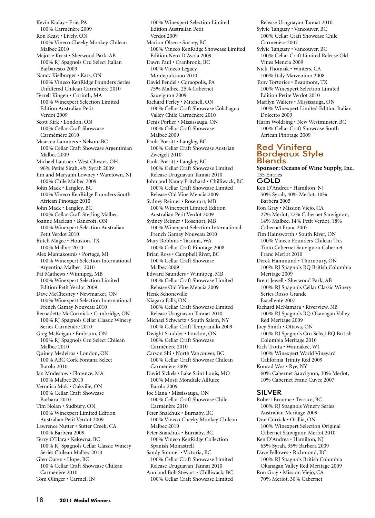Kevin Kaday • Erie, PA 100% Carménère 2009 Ron Keast • Lively, ON 100% Vineco Cheeky Monkey Chilean Malbec 2010 Majorie Keast • Sherwood Park, AB 100% RJ Spagnols Cru Select Italian Barbaresco 2009 Nancy Kielburger • Kars, ON 100% Vineco KenRidge Founders Series Unfiltered Chilean Carménère 2010 Terrell Kingen • Corinth, MA 100% Winexpert Selection Limited Edition Australian Petit Verdot 2009 Scott Kirk • London, ON 100% Cellar Craft Showcase Carmémère 2010 Maarten Lammers • Nelson, BC 100% Cellar Craft Showcase Argentinian Malbec 2009 Michael Lautner • West Chester, OH 96% Petite Sirah, 4% Syrah 2009 Jim and Maryann Lowney • Waretown, NJ 100% Chile Malbec 2009 John Mack • Langley, BC 100% Vineco KenRidge Founders South African Pinotage 2010 John Mack • Langley, BC 100% Cellar Craft Sterling Malbec Joanne Maclean • Bancroft, ON 100% Winexpert Selection Australian Petit Verdot 2010 Butch Magee • Houston, TX 100% Malbec 2010 Alex Mantakounis • Portage, MI 100% Winexpert Selection International Argentina Malbec 2010 Pat Mathews • Winnipeg, MB 100% Winexpert Selection Limited Edition Petit Verdot 2009 Dave McChesney • Newmarket, ON 100% Winexpert Selection International French Gamay Nouveau 2010 Bernadette McCormick • Cambridge, ON 100% RJ Spagnols Cellar Classic Winery Series Carménère 2010 Greg McKeigan • Embrum, ON 100% RJ Spagnols Cru Select Chilean Malbec 2010 Quincy Medeiros • London, ON 100% ABC Cork Fontana Select Barolo 2010 Ian Modestow • Florence, MA 100% Malbec 2010 Veronica Mok • Oakville, ON 100% Cellar Craft Showcase Barbara 2010 Tim Nolan • Sudbury, ON 100% Winexpert Limited Edition Australian Petit Verdot 2009 Lawrence Nutter • Sutter Creek, CA 100% Barbera 2009 Terry O'Hara • Kelowna, BC 100% RJ Spagnols Cellar Classic Winery Series Chilean Malbec 2010 Glen Oaren • Hope, BC 100% Cellar Craft Showcase Chilean Carménère 2010 Tom Olinger • Carmel, IN

100% Winexpert Selection Limited Edition Australian Petit Verdot 2009 Marion Olsen • Surrey, BC 100% Vineco KenRidge Showcase Limited Edition Nero D'Avola 2009 Dawn Paul • Cranbrook, BC 100% Vineco Legacy Montepulciano 2010 David Pendel • Coraopolis, PA 75% Malbec, 25% Cabernet Sauvignon 2009 Richard Perley • Mitchell, ON 100% Cellar Craft Showcase Colchagua Valley Chile Carménère 2010 Denis Porlier • Mississauga, ON 100% Cellar Craft Showcase Malbec 2009 Paula Porritt • Langley, BC 100% Cellar Craft Showcase Austrian Zweigelt 2010 Paula Porritt • Langley, BC 100% Cellar Craft Showcase Limited Release Uruguayan Tannat 2010 John and Nancy Pritchard • Chilliwack, BC 100% Cellar Craft Showcase Limited Release Old Vine Mencia 2009 Sydney Reimer • Rosenort, MB 100% Winexpert Limited Edition Australian Petit Verdot 2009 Sydney Reimer • Rosenort, MB 100% Winexpert Selection International French Gamay Nouveau 2010 Mary Robbins • Tacoma, WA 100% Cellar Craft Pinotage 2008 Brian Ross • Campbell River, BC 100% Cellar Craft Showcase Malbec 2009 Edward Saunders • Winnipeg, MB 100% Cellar Craft Showcase Limited Release Old Vine Mencia 2009 Henk Schonewille Niagara Falls, ON 100% Cellar Craft Showcase Limited Release Uruguayan Tannat 2010 Michael Schwartz • South Salem, NY 100% Cellar Craft Tempranillo 2009 Dwight Scudder • London, ON 100% Cellar Craft Showcase Carménère 2010 Carson Shi • North Vancouver, BC 100% Cellar Craft Showcase Chilean Carménère 2009 David Sickels • Lake Saint Louis, MO 100% Mosti Mondiale AllJuice Barolo 2009 Joe Slana • Mississauga, ON 100% Cellar Craft Showcase Chile Carménère 2010 Peter Snaichuk • Burnaby, BC 100% Vineco Cheeky Monkey Chilean Malbec 2010 Peter Snaichuk • Burnaby, BC 100% Vineco KenRidge Collection Spanish Monastrell Sandy Somner • Victoria, BC 100% Cellar Craft Showcase Limited Release Uruguayan Tannat 2010 Ann and Bob Stewart • Chilliwack, BC 100% Cellar Craft Showcase Limited

100% Cellar Craft Limited Release Old Vines Mencia 2009 Nick Thomsik • Winters, CA 100% Italy Marzemino 2008 Tony Tortorice • Beaumont, TX 100% Winexpert Selection Limited Edition Petite Verdot 2010 Marilyn Walters • Mississauga, ON 100% Winexpert Limited Edition Italian Dolcetto 2009 Harm Woldring • New Westminster, BC 100% Cellar Craft Showcase South African Pinotage 2009 Red Vinifera Bordeaux Style Blends **Sponsor: Oceans of Wine Supply, Inc.** 135 Entries GOLD Ken D'Andrea • Hamilton, NJ 50% Syrah, 40% Merlot, 10% Barbera 2005 Ron Gray • Mission Viejo, CA 27% Merlot, 27% Cabernet Sauvignon, 14% Malbec, 14% Petit Verdot, 18% Cabernet Franc 2007 Tim Hainsworth • South River, ON 100% Vineco Founders Chilean Tres Tinto Cabernet Sauvignon Cabernet Franc Merlot 2010 Derek Hammund • Thornbury, ON 100% RJ Spagnols RQ British Columbia Meritage 2009 Brent Jewell • Sherwood Park, AB 100% RJ Spagnols Cellar Classic Winery Series Rosso Grande Excellente 2007 Richard McNamara • Riverview, NB 100% RJ Spagnols RQ Okanagan Valley Red Meritage 2009 Joey Smith • Ottawa, ON 100% RJ Spagnols Cru Select RQ British Columbia Meritage 2010 Rich Trotta • Waunakee, WI 100% Winexpert World Vineyard California Trinity Red 2009 Konrad Wos • Rye, NY 60% Cabernet Sauvignon, 30% Merlot, 10% Cabernet Franc Cuvee 2007 SILVER Robert Broome • Terrace, BC 100% RJ Spagnols Winery Series Australian Meritage 2009 Don Corrick • Orillia, ON 100% Winexpert Selection Original Cabernet Sauvignon Merlot 2010

Release Uruguayan Tannat 2010 Sylvie Tanguay • Vancouver, BC 100% Cellar Craft Showcase Chile

Sylvie Tanguay • Vancouver, BC

Carménère 2007

- Ken D'Andrea Hamilton, NJ 65% Syrah, 35% Barbera 2009 Dave Fellowes • Richmond, BC
- 100% RJ Spagnols British Columbia Okanagan Valley Red Meritage 2009 Ron Gray • Mission Viejo, CA 70% Merlot, 30% Cabernet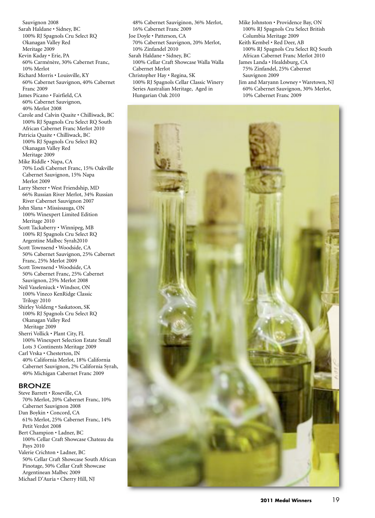Sauvignon 2008 Sarah Haldane • Sidney, BC 100% RJ Spagnols Cru Select RQ Okanagan Valley Red Meritage 2009 Kevin Kaday • Erie, PA 60% Carménère, 30% Cabernet Franc, 10% Merlot Richard Morris • Louisville, KY 60% Cabernet Sauvignon, 40% Cabernet Franc 2009 James Picano • Fairfield, CA 60% Cabernet Sauvignon, 40% Merlot 2008 Carole and Calvin Quaite • Chilliwack, BC 100% RJ Spagnols Cru Select RQ South African Cabernet Franc Merlot 2010 Patricia Quaite • Chilliwack, BC 100% RJ Spagnols Cru Select RQ Okanagan Valley Red Meritage 2009 Mike Riddle • Napa, CA 70% Lodi Cabernet Franc, 15% Oakville Cabernet Sauvignon, 15% Napa Merlot 2009 Larry Sherer • West Friendship, MD 66% Russian River Merlot, 34% Russian River Cabernet Sauvignon 2007 John Slana • Mississauga, ON 100% Winexpert Limited Edition Meritage 2010 Scott Tackaberry • Winnipeg, MB 100% RJ Spagnols Cru Select RQ Argentine Malbec Syrah2010 Scott Townsend • Woodside, CA 50% Cabernet Sauvignon, 25% Cabernet Franc, 25% Merlot 2009 Scott Townsend • Woodside, CA 50% Cabernet Franc, 25% Cabernet Sauvignon, 25% Merlot 2008 Neil Vaseleniuck • Windsor, ON 100% Vineco KenRidge Classic Trilogy 2010 Shirley Voldeng • Saskatoon, SK 100% RJ Spagnols Cru Select RQ Okanagan Valley Red Meritage 2009 Sherri Vollick • Plant City, FL 100% Winexpert Selection Estate Small Lots 3 Continents Meritage 2009 Carl Vrska • Chesterton, IN 40% California Merlot, 18% California Cabernet Sauvignon, 2% California Syrah, 40% Michigan Cabernet Franc 2009 BRONZE Steve Barrett • Roseville, CA

70% Merlot, 20% Cabernet Franc, 10% Cabernet Sauvignon 2008 Dan Boykin • Concord, CA 61% Merlot, 25% Cabernet Franc, 14% Petit Verdot 2008 Bert Champion • Ladner, BC 100% Cellar Craft Showcase Chateau du Pays 2010 Valerie Crichton • Ladner, BC 50% Cellar Craft Showcase South African Pinotage, 50% Cellar Craft Showcase Argentinean Malbec 2009

Michael D'Auria • Cherry Hill, NJ

- 48% Cabernet Sauviginon, 36% Merlot, 16% Cabernet Franc 2009 Joe Doyle • Patterson, CA 70% Cabernet Sauvignon, 20% Merlot, 10% Zinfandel 2010 Sarah Haldane • Sidney, BC 100% Cellar Craft Showcase Walla Walla Cabernet Merlot Christopher Hay • Regina, SK 100% RJ Spagnols Cellar Classic Winery Series Australian Meritage, Aged in Hungarian Oak 2010
- Mike Johnston Providence Bay, ON 100% RJ Spagnols Cru Select British Columbia Meritage 2009 Keith Kembel • Red Deer, AB 100% RJ Spagnols Cru Select RQ South African Cabernet Franc Merlot 2010 James Landa • Healdsburg, CA 75% Zinfandel, 25% Cabernet Sauvignon 2009 Jim and Maryann Lowney • Waretown, NJ
- 60% Cabernet Sauvignon, 30% Merlot, 10% Cabernet Franc 2009

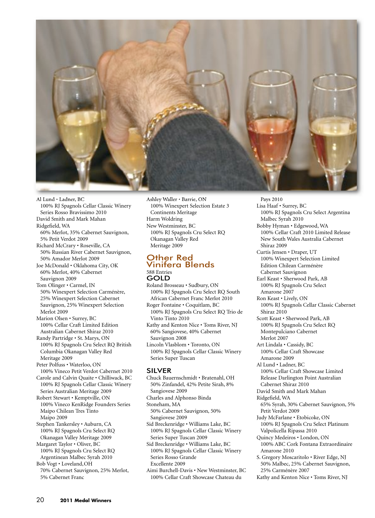

Al Lund • Ladner, BC 100% RJ Spagnols Cellar Classic Winery Series Rosso Bravissimo 2010 David Smith and Mark Mahan Ridgefield, WA 60% Merlot, 35% Cabernet Sauvignon, 5% Petit Verdot 2009 Richard McCrary • Roseville, CA 50% Russian River Cabernet Sauvignon, 50% Amador Merlot 2009 Joe McDonald • Oklahoma City, OK 60% Merlot, 40% Cabernet Sauvignon 2009 Tom Olinger • Carmel, IN 50% Winexpert Selection Carménère, 25% Winexpert Selection Cabernet Sauvignon, 25% Winexpert Selection Merlot 2009 Marion Olsen • Surrey, BC 100% Cellar Craft Limited Edition Australian Cabernet Shiraz 2010 Randy Partridge • St. Marys, ON 100% RJ Spagnols Cru Select RQ British Columbia Okanagan Valley Red Meritage 2009 Peter Polfuss • Waterloo, ON 100% Vineco Petit Verdot Cabernet 2010 Carole and Calvin Quaite • Chilliwack, BC 100% RJ Spagnols Cellar Classic Winery Series Australian Meritage 2009 Robert Stewart • Kemptville, ON 100% Vineco KenRidge Founders Series Maipo Chilean Tres Tinto Maipo 2009 Stephen Tankersley • Auburn, CA 100% RJ Spagnols Cru Select RQ Okanagan Valley Meritage 2009 Margaret Taylor • Oliver, BC 100% RJ Spagnols Cru Select RQ Argentinean Malbec Syrah 2010 Bob Vogt • Loveland,OH

70% Cabernet Sauvignon, 25% Merlot, 5% Cabernet Franc

Ashley Waller • Barrie, ON 100% Winexpert Selection Estate 3 Continents Meritage Harm Woldring New Westminster, BC 100% RJ Spagnols Cru Select RQ Okanagan Valley Red Meritage 2009

#### Other Red Vinifera Blends 588 Entries GOLD

Roland Brosseau • Sudbury, ON 100% RJ Spagnols Cru Select RQ South African Cabernet Franc Merlot 2010

Roger Fontaine • Coquitlam, BC 100% RJ Spagnols Cru Select RQ Trio de Vinto Tinto 2010

Kathy and Kenton Nice • Toms River, NJ 60% Sangiovese, 40% Cabernet Sauvignon 2008

Lincoln Vlasblom • Toronto, ON 100% RJ Spagnols Cellar Classic Winery Series Super Tuscan

#### SILVER

Chuck Bauernschmidt • Bratenahl, OH 50% Zinfandel, 42% Petite Sirah, 8% Sangiovese 2009

Charles and Alphonso Binda

Stoneham, MA

50% Cabernet Sauvignon, 50% Sangiovese 2009

Sid Breckenridge • Williams Lake, BC 100% RJ Spagnols Cellar Classic Winery Series Super Tuscan 2009

Sid Breckenridge • Williams Lake, BC 100% RJ Spagnols Cellar Classic Winery Series Rosso Grande Excellente 2009

Aimi Burchell-Davis • New Westminster, BC 100% Cellar Craft Showcase Chateau du

Pays 2010 Lisa Haaf • Surrey, BC 100% RJ Spagnols Cru Select Argentina Malbec Syrah 2010 Bobby Hyman • Edgewood, WA 100% Cellar Craft 2010 Limited Release New South Wales Australia Cabernet Shiraz 2009 Curtis Jensen • Draper, UT 100% Winexpert Selection Limited Edition Chilean Carménère Cabernet Sauvignon Earl Keast • Sherwood Park, AB 100% RJ Spagnols Cru Select Amarone 2007 Ron Keast • Lively, ON 100% RJ Spagnols Cellar Classic Cabernet Shiraz 2010 Scott Keast • Sherwood Park, AB 100% RJ Spagnols Cru Select RQ Montepulciano Cabernet Merlot 2007 Art Lindala • Cassidy, BC 100% Cellar Craft Showcase Amarone 2009 Al Lund • Ladner, BC 100% Cellar Craft Showcase Limited Release Darlington Point Australian Cabernet Shiraz 2010 David Smith and Mark Mahan Ridgefield, WA 65% Syrah, 30% Cabernet Sauvignon, 5% Petit Verdot 2009 Judy McFarlane • Etobicoke, ON 100% RJ Spagnols Cru Select Platinum Valpolicella Ripassa 2010 Quincy Medeiros • London, ON 100% ABC Cork Fontana Extraordinaire Amarone 2010 S. Gregory Moscaritolo • River Edge, NJ 50% Malbec, 25% Cabernet Sauvignon, 25% Carménère 2007 Kathy and Kenton Nice • Toms River, NJ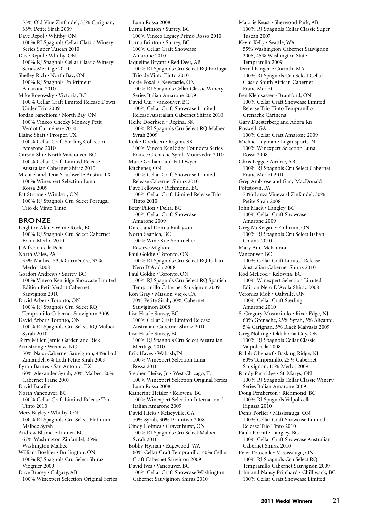33% Old Vine Zinfandel, 33% Carignan, 33% Petite Sirah 2009 Dave Repol • Whitby, ON 100% RJ Spagnols Cellar Classic Winery Series Super Tuscan 2010 Dave Repol • Whitby, ON 100% RJ Spagnols Cellar Classic Winery Series Meritage 2010 Shelley Rich • North Bay, ON 100% RJ Spagnols En Primeur Amarone 2010 Mike Rogowsky • Victoria, BC 100% Cellar Craft Limited Release Down Under Trio 2009 Jordan Sanchioni • North Bay, ON 100% Vineco Cheeky Monkey Petit Verdot Carménère 2010 Elaine Shaft • Prosper, TX 100% Cellar Craft Sterling Collection Amarone 2010 Carson Shi • North Vancouver, BC 100% Cellar Craft Limited Release Australian Cabernet Shiraz 2010 Michael and Tena Southwell • Austin, TX 100% Winexpert Selection Luna Rossa 2009 Pat Strome • Windsor, ON 100% RJ Spagnols Cru Select Portugal

#### BRONZE

Trio de Vinto Tinto

Leighton Akin • White Rock, BC 100% RJ Spagnols Cru Select Cabernet Franc Merlot 2010 J. Alfredo de la Peña North Wales, PA 33% Malbec, 33% Carménère, 33% Merlot 2008 Gordon Andrews • Surrey, BC 100% Vineco Kenridge Showcase Limited Edition Petit Verdot Cabernet Sauvignon 2010 David Arber • Toronto, ON 100% RJ Spagnols Cru Select RQ Tempranillo Cabernet Sauvignon 2009 David Arber • Toronto, ON 100% RJ Spagnols Cru Select RQ Malbec Syrah 2010 Terry Miller, Jamie Garden and Rick Armstrong • Waxhaw, NC 50% Napa Cabernet Sauvignon, 44% Lodi Zinfandel, 6% Lodi Petite Sirah 2009 Byron Barnes • San Antonio, TX 60% Alexander Syrah, 20% Malbec, 20% Cabernet Franc 2007 David Bataille North Vancouver, BC 100% Cellar Craft Limited Release Trio Tinto 2010 Merv Bayley • Whitby, ON 100% RJ Spagnols Cru Select Platinum Malbec Syrah Andrew Blumel • Ladner, BC 67% Washington Zinfandel, 33% Washington Malbec William Boehler • Burlington, ON 100% RJ Spagnols Cru Select Shiraz Viognier 2009 Dave Bracey • Calgary, AB 100% Winexpert Selection Original Series

Luna Rossa 2008 Lurna Brinton • Surrey, BC 100% Vineco Legacy Primo Rosso 2010 Lurna Brinton • Surrey, BC 100% Cellar Craft Showcase Amarone 2010 Jaqueline Bryant • Red Deer, AB 100% RJ Spagnols Cru Select RQ Portugal Trio de Vinto Tinto 2010 Jackie Foxall • Newcastle, ON 100% RJ Spagnols Cellar Classic Winery Series Italian Amarone 2009 David Cui • Vancouver, BC 100% Cellar Craft Showcase Limited Release Australian Cabernet Shiraz 2010 Heike Doerksen • Regina, SK 100% RJ Spagnols Cru Select RQ Malbec Syrah 2009 Keike Doerksen • Regina, SK 100% Vineco KenRidge Founders Series France Grenache Syrah Mourvèdre 2010 Marie Graham and Pat Dwyer Kitchener, ON 100% Cellar Craft Showcase Limited Release Cabernet Shiraz 2010 Dave Fellowes • Richmond, BC 100% Cellar Craft Limited Release Trio Tinto 2010 Betsy Filion • Delta, BC 100% Cellar Craft Showcase Amarone 2009 Derek and Donna Finlayson North Saanich, BC 100% Wine Kitz Sommelier Reserve Migliore Paul Goldie • Toronto, ON 100% RJ Spagnols Cru Select RQ Italian Nero D'Avola 2008 Paul Goldie • Toronto, ON 100% RJ Spagnols Cru Select RQ Spanish Tempranillo Cabernet Sauvignon 2009 Ron Gray • Mission Viejo, CA 70% Petite Sirah, 30% Cabernet Sauviginon 2008 Lisa Haaf • Surrey, BC 100% Cellar Craft Limited Release Australian Cabernet Shiraz 2010 Lisa Haaf • Surrey, BC 100% RJ Spagnols Cru Select Australian Meritage 2010 Erik Hayes • Wabash,IN 100% Winexpert Selection Luna Rossa 2010 Stephen Heike, Jr. • West Chicago, IL 100% Winexpert Selection Original Series Luna Rossa 2008 Katherine Heisler • Kelowna, BC 100% Winexpert Selection International Italian Amarone 2009 David Hicks • Kelseyville, CA 70% Syrah, 30% Primitivo 2008 Cindy Holmes • Gravenhurst, ON 100% RJ Spagnols Cru Select Malbec Syrah 2010 Bobby Hyman • Edgewood, WA 60% Cellar Craft Tempranillo, 40% Cellar Craft Cabernet Sauvinon 2009 David Ives • Vancouver, BC 100% Cellar Craft Showcase Washington Cabernet Sauviginon Shiraz 2010

Majorie Keast • Sherwood Park, AB 100% RJ Spagnols Cellar Classic Super Tuscan 2007 Kevin Kelly • Seattle, WA 55% Washington Cabernet Sauvignon 2008, 45% Washington State Tempranillo 2009 Terrell Kingen • Corinth, MA 100% RJ Spagnols Cru Select Cellar Classic South African Cabernet Franc Merlot Ben Kleinsasser • Brantford, ON 100% Cellar Craft Showcase Limited Release Trio Tinto Tempranillo Grenache Carinena Gary Duesterberg and Adora Ku Roswell, GA 100% Cellar Craft Amarone 2009 Michael Layman • Logansport, IN 100% Winexpert Selection Luna Rossa 2008 Chris Legge • Airdrie, AB 100% RJ Spagnols Cru Select Cabernet Franc Merlot 2010 Greg Ambrose and Gary MacDonald Pottstown, PA 70% Lanza Vineyard Zinfandel, 30% Petite Sirah 2008 John Mack • Langley, BC 100% Cellar Craft Showcase Amarone 2009 Greg McKeigan • Embrum, ON 100% RJ Spagnols Cru Select Italian Chianti 2010 Mary Ann McKinnon Vancouver, BC 100% Cellar Craft Limited Release Australian Cabernet Shiraz 2010 Rod McLeod • Kelowna, BC 100% Winexpert Selection Limited Edition Nero D'Avola Shiraz 2008 Veronica Mok • Oakville, ON 100% Cellar Craft Sterling Amarone 2010 S. Gregory Moscaritolo • River Edge, NJ 60% Grenache, 25% Syrah, 5% Alicante, 5% Carignan, 5% Black Malvasia 2009 Greg Nolting • Oklahoma City, OK 100% RJ Spagnols Cellar Classic Valpolicella 2008 Ralph Obenauf • Basking Ridge, NJ 60% Tempranillo, 25% Cabernet Sauvignon, 15% Merlot 2009 Randy Partridge • St. Marys, ON 100% RJ Spagnols Cellar Classic Winery Series Italian Amarone 2009 Doug Pemberton • Richmond, BC 100% RJ Spagnols Valpolicella Ripassa 2010 Denis Porlier • Mississauga, ON 100% Cellar Craft Showcase Limited Release Trio Tinto 2010 Paula Porritt • Langley, BC 100% Cellar Craft Showcase Australian Cabernet Shiraz 2010 Peter Potocnik • Mississauga, ON 100% RJ Spagnols Cru Select RQ Tempranillo Cabernet Sauvignon 2009 John and Nancy Pritchard • Chilliwack, BC

100% Cellar Craft Showcase Limited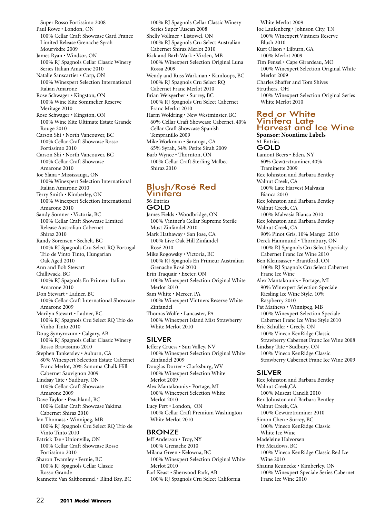Super Rosso Fortissimo 2008 Paul Rowe • London, ON 100% Cellar Craft Showcase Gard France Limited Release Grenache Syrah Mourvèdre 2009 James Ryan • Windsor, ON 100% RJ Spagnols Cellar Classic Winery Series Italian Amarone 2010 Natalie Sanscartier • Carp, ON 100% Winexpert Selection International Italian Amarone Rose Schwager • Kingston, ON 100% Wine Kitz Sommelier Reserve Meritage 2010 Rose Schwager • Kingston, ON 100% Wine Kitz Ultimate Estate Grande Rouge 2010 Carson Shi • North Vancouver, BC 100% Cellar Craft Showcase Rosso Fortissimo 2010 Carson Shi • North Vancouver, BC 100% Cellar Craft Showcase Amarone 2010 Joe Slana • Mississauga, ON 100% Winexpert Selection International Italian Amarone 2010 Terry Smith • Kimberley, ON 100% Winexpert Selection International Amarone 2010 Sandy Somner • Victoria, BC 100% Cellar Craft Showcase Limited Release Australian Cabernet Shiraz 2010 Randy Sorensen • Sechelt, BC 100% RJ Spagnols Cru Select RQ Portugal Trio de Vinto Tinto, Hungarian Oak Aged 2010 Ann and Bob Stewart Chilliwack, BC 100% RJ Spagnols En Primeur Italian Amarone 2010 Don Stewart • Ladner, BC 100% Cellar Craft International Showcase Amarone 2009 Marilyn Stewart • Ladner, BC 100% RJ Spagnols Cru Select RQ Trio do Vinho Tinto 2010 Doug Symyrozum • Calgary, AB 100% RJ Spagnols Cellar Classic Winery Rosso Bravissimo 2010 Stephen Tankersley • Auburn, CA 80% Winexpert Selection Estate Cabernet Franc Merlot, 20% Sonoma Chalk Hill Cabernet Sauvignon 2009 Lindsay Tate • Sudbury, ON 100% Cellar Craft Showcase Amarone 2009 Dave Taylor • Peachland, BC 100% Cellar Craft Showcase Yakima Cabernet Shiraz 2010 Ian Thomass • Winnipeg, MB 100% RJ Spagnols Cru Select RQ Trio de Vinto Tinto 2010 Patrick Tse • Unionville, ON 100% Cellar Craft Showcase Rosso Fortissimo 2010 Sharon Twamley • Fernie, BC 100% RJ Spagnols Cellar Classic Rosso Grande Jeannette Van Saltbommel • Blind Bay, BC

Series Super Tuscan 2008 Shelly Vollmer • Listowel, ON 100% RJ Spagnols Cru Select Australian Cabernet Shiraz Merlot 2010 Rick and Barb Wark • Virden, MB 100% Winexpert Selection Original Luna Rossa 2009 Wendy and Russ Warkman • Kamloops, BC 100% RJ Spagnols Cru Select RQ Cabernet Franc Merlot 2010 Brian Weisgerber • Surrey, BC 100% RJ Spagnols Cru Select Cabernet Franc Merlot 2010 Harm Woldring • New Westminster, BC 60% Cellar Craft Showcase Cabernet, 40% Cellar Craft Showcase Spanish Tempranillo 2009 Mike Workman • Saratoga, CA 65% Syrah, 34% Petite Sirah 2009 Barb Wynee • Thornton, ON 100% Cellar Craft Sterling Malbec Shiraz 2010

100% RJ Spagnols Cellar Classic Winery

#### Blush/Rosé Red Vinifera 56 Entries

## GOLD

- James Fields Woodbridge, ON 100% Vintner's Cellar Supreme Sterile Must Zinfandel 2010 Mark Hathaway • San Jose, CA
- 100% Live Oak Hill Zinfandel Rosé 2010
- Mike Rogowsky Victoria, BC 100% RJ Spagnols En Primeur Australian Grenache Rosé 2010
- Erin Traquair Exeter, ON 100% Winexpert Selection Original White Merlot 2010
- Sam White Mercer, PA 100% Winexpert Vintners Reserve White
- Zinfandel Thomas Wolfe • Lancaster, PA 100% Winexpert Island Mist Strawberry White Merlot 2010

## SILVER

- Jeffery Cruess Sun Valley, NV 100% Winexpert Selection Original White Zinfandel 2009
- Douglas Dorrer Clarksburg, WV 100% Winexpert Selection White Merlot 2009
- Alex Mantakounis Portage, MI 100% Winexpert Selection White Merlot 2010
- Lucy Pert London, ON 100% Cellar Craft Premium Washington White Merlot 2010

## BRONZE

Jeff Anderson • Troy, NY 100% Grenache 2010 Milana Green • Kelowna, BC 100% Winexpert Selection Original White Merlot 2010 Earl Keast • Sherwood Park, AB 100% RJ Spagnols Cru Select California

White Merlot 2009 Joe Laufenberg • Johnson City, TN 100% Winexpert Vintners Reserve Blush 2010 Kurt Olson • Lilburn, GA 100% Merlot 2009 Tim Pensel • Cape Girardeau, MO 100% Winexpert Selection Original White Merlot 2009 Charles Shaffer and Tom Shives Struthers, OH 100% Winexpert Selection Original Series White Merlot 2010

## Red or White Vinifera Late Harvest and Ice Wine

**Sponsor: Noontime Labels** 61 Entries

## GOLD

Lamont Beers • Eden, NY 60% Gewürztraminer, 40% Traminette 2009 Rex Johnston and Barbara Bentley Walnut Creek, CA 100% Late Harvest Malvasia Bianca 2010 Rex Johnston and Barbara Bentley Walnut Creek, CA 100% Malvasia Bianca 2010 Rex Johnston and Barbara Bentley Walnut Creek, CA 90% Pinot Gris, 10% Mango 2010 Derek Hammund • Thornbury, ON 100% RJ Spagnols Cru Select Specialty Cabernet Franc Ice Wine 2010 Ben Kleinsasser • Brantford, ON 100% RJ Spagnols Cru Select Cabernet Franc Ice Wine Alex Mantakounis • Portage, MI 90% Winexpert Selection Speciale Riesling Ice Wine Style, 10% Raspberry 2010 Pat Mathews • Winnipeg, MB 100% Winexpert Selection Speciale Cabernet Franc Ice Wine Style 2010 Eric Schuller • Greely, ON 100% Vineco KenRidge Classic Strawberry Cabernet Franc Ice Wine 2008 Lindsay Tate • Sudbury, ON 100% Vineco KenRidge Classic Strawberry Cabernet Franc Ice Wine 2009 SILVER

Rex Johnston and Barbara Bentley Walnut Creek,CA 100% Muscat Canelli 2010 Rex Johnston and Barbara Bentley Walnut Creek, CA 100% Gewürztraminer 2010 Simon Chen • Surrey, BC 100% Vineco KenRidge Classic White Ice Wine Madeleine Halvorsen Pitt Meadows, BC 100% Vineco KenRidge Classic Red Ice Wine 2010 Shauna Keunecke • Kimberley, ON 100% Winexpert Speciale Series Cabernet Franc Ice Wine 2010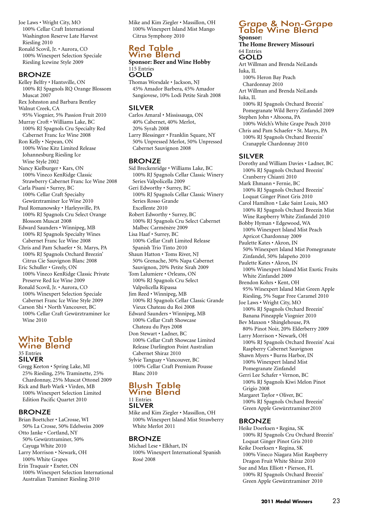Joe Laws • Wright City, MO 100% Cellar Craft International Washington Reserve Late Harvest Riesling 2010 Ronald Scovil, Jr. • Aurora, CO 100% Winexpert Selection Speciale Riesling Icewine Style 2009

#### BRONZE

Kelley Belfry • Hantsville, ON 100% RJ Spagnols RQ Orange Blossom Muscat 2007 Rex Johnston and Barbara Bentley Walnut Creek, CA 95% Viognier, 5% Passion Fruit 2010 Murray Croft • Williams Lake, BC 100% RJ Spagnols Cru Specialty Red Cabernet Franc Ice Wine 2008

Ron Kelly • Nepean, ON 100% Wine Kitz Limited Release Johannesburg Riesling Ice Wine Style 2002

Nancy Kielburger • Kars, ON 100% Vineco KenRidge Classic Strawberry Cabernet Franc Ice Wine 2008

Carla Pisani • Surrey, BC 100% Cellar Craft Specialty Gewürztraminer Ice Wine 2010

Paul Romanowsky • Harleysville, PA 100% RJ Spagnols Cru Select Orange Blossom Muscat 2008

Edward Saunders • Winnipeg, MB 100% RJ Spagnols Specialty Wines Cabernet Franc Ice Wine 2008

Chris and Pam Schaefer • St. Marys, PA 100% RJ Spagnols Orchard Breezin' Citrus Cie Sauvignon Blanc 2008

Eric Schuller • Greely, ON 100% Vineco KenRidge Classic Private Preserve Red Ice Wine 2009

Ronald Scovil, Jr. • Aurora, CO 100% Winexpert Selection Speciale Cabernet Franc Ice Wine Style 2009 Carson Shi • North Vancouver, BC

100% Cellar Craft Gewürztraminer Ice Wine 2010

#### White Table Wine Blend 35 Entries SILVER

Gregg Keeton • Spring Lake, MI 25% Riesling, 25% Traminette, 25% Chardonnay, 25% Muscat Ottonel 2009 Rick and Barb Wark • Virden, MB 100% Winexpert Selection Limited Edition Pacific Quartet 2010

#### BRONZE

Brian Boettcher • LaCrosse, WI 50% La Crosse, 50% Edelweiss 2009 Otto Janke • Cortland, NY 50% Gewürztraminer, 50% Cayuga White 2010 Larry Morrison • Newark, OH 100% White Grapes Erin Traquair • Exeter, ON 100% Winexpert Selection International Australian Traminer Riesling 2010

Mike and Kim Ziegler • Massillon, OH 100% Winexpert Island Mist Mango Citrus Symphony 2010

## Red Table Wine Blend

**Sponsor: Beer and Wine Hobby** 115 Entries

### GOLD

Thomas Worsdale • Jackson, NJ 45% Amador Barbera, 45% Amador Sangiovese, 10% Lodi Petite Sirah 2008

#### SILVER

Carlos Amaral • Mississauga, ON 40% Cabernet, 40% Merlot, 20% Syrah 2008 Larry Blessinger • Franklin Square, NY 50% Unpressed Merlot, 50% Unpressed Cabernet Sauvignon 2008

#### BRONZE

Sid Breckenridge • Williams Lake, BC 100% RJ Spagnols Cellar Classic Winery Series Valpolicella 2009 Geri Edworthy • Surrey, BC 100% RJ Spagnols Cellar Classic Winery Series Rosso Grande Excellente 2010 Robert Edworthy • Surrey, BC 100% RJ Spagnols Cru Select Cabernet Malbec Carménère 2009 Lisa Haaf • Surrey, BC 100% Cellar Craft Limited Release Spanish Trio Tinto 2010 Shaun Hatton • Toms River, NJ 50% Grenache, 30% Napa Cabernet Sauvignon, 20% Petite Sirah 2009 Tom Lalumiere • Orleans, ON 100% RJ Spagnols Cru Select Valpolicella Ripassa Jim Reed • Winnipeg, MB 100% RJ Spagnols Cellar Classic Grande Vieux Chateau du Roi 2008 Edward Saunders • Winnipeg, MB 100% Cellar Craft Showcase Chateau du Pays 2008 Don Stewart • Ladner, BC 100% Cellar Craft Showcase Limited Release Darlington Point Australian Cabernet Shiraz 2010 Sylvie Tanguay • Vancouver, BC 100% Cellar Craft Premium Pousse Blanc 2010

#### Blush Table Wine Blend 11 Entries

#### SILVER

Mike and Kim Ziegler • Massillon, OH 100% Winexpert Island Mist Strawberry White Merlot 2011

#### **BRONZE**

Michael Lese • Elkhart, IN 100% Winexpert International Spanish Rosé 2008

#### Grape & Non-Grape Table Wine Blend

#### **Sponsor: The Home Brewery Missouri** 64 Entries

#### GOLD

Art Willman and Brenda NeiLands Iuka, IL

100% Heron Bay Peach Chardonnay 2010

Art Willman and Brenda NeiLands

- Iuka, IL
- 100% RJ Spagnols Orchard Breezin' Pomegranate Wild Berry Zinfandel 2009 Stephen John • Altoona, PA
- 100% Welch's White Grape Peach 2010 Chris and Pam Schaefer • St. Marys, PA

100% RJ Spagnols Orchard Breezin' Cranapple Chardonnay 2010

#### SILVER

Dorothy and William Davies • Ladner, BC 100% RJ Spagnols Orchard Breezin' Cranberry Chianti 2010 Mark Ehmann • Fernie, BC 100% RJ Spagnols Orchard Breezin' Loquat Ginger Pinot Gris 2010 Carol Hamilton • Lake Saint Louis, MO 100% RJ Spagnols Orchard Breezin Mist Wine Raspberry White Zinfandel 2010 Bobby Hyman • Edgewood, WA 100% Winexpert Island Mist Peach Apricot Chardonnay 2009 Paulette Kates • Akron, IN 50% Winexpert Island Mist Pomegranate Zinfandel, 50% Jalapeño 2010 Paulette Kates • Akron, IN 100% Winexpert Island Mist Exotic Fruits White Zinfandel 2009 Brendon Kohrs • Kent, OH 95% Winexpert Island Mist Green Apple Riesling, 5% Sugar Free Caramel 2010 Joe Laws • Wright City, MO 100% RJ Spagnols Orchard Breezin' Banana Pineapple Viognier 2010 Bev Maxson • Shinglehouse, PA 80% Pinot Noir, 20% Elderberry 2009 Larry Morrison • Newark, OH 100% RJ Spagnols Orchard Breezin' Acai Raspberry Cabernet Sauvignon Shawn Myers • Burns Harbor, IN 100% Winexpert Island Mist Pomegranate Zinfandel Gerri Lee Schafer • Vernon, BC 100% RJ Spagnols Kiwi Melon Pinot Grigio 2008 Margaret Taylor • Oliver, BC 100% RJ Spagnols Orchard Breezin' Green Apple Gewürztraminer2010

#### BRONZE

Heike Doerksen • Regina, SK 100% RJ Spagnols Cru Orchard Breezin' Loquat Ginger Pinot Gris 2010 Keike Doerksen • Regina, SK

100% Vineco Niagara Mist Raspberry Dragon Fruit White Shiraz 2010

Sue and Max Elliott • Pierson, FL 100% RJ Spagnols Orchard Breezin' Green Apple Gewürztraminer 2010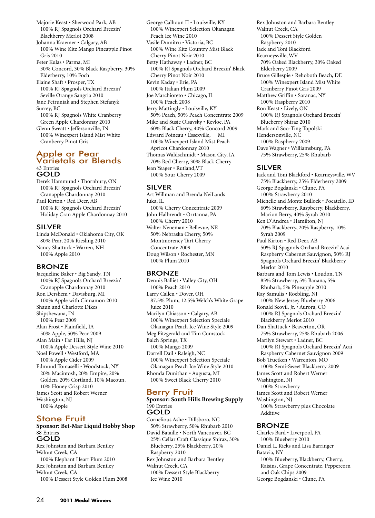Majorie Keast • Sherwood Park, AB 100% RJ Spagnols Orchard Breezin' Blackberry Merlot 2008 Johanna Kraemer • Calgary, AB 100% Wine Kitz Mango Pineapple Pinot Gris 2010 Peter Kulas • Parma, MI 30% Concord, 30% Black Raspberry, 30% Elderberry, 10% Foch Elaine Shaft • Prosper, TX 100% RJ Spagnols Orchard Breezin' Seville Orange Sangria 2010 Jane Petruniak and Stephen Stefanyk Surrey, BC 100% RJ Spagnols White Cranberry Green Apple Chardonnay 2010 Glenn Sweatt • Jeffersonville, IN 100% Winexpert Island Mist White Cranberry Pinot Gris

#### Apple or Pear Varietals or Blends 43 Entries GOLD

Derek Hammund • Thornbury, ON 100% RJ Spagnols Orchard Breezin' Cranapple Chardonnay 2010 Paul Kirton • Red Deer, AB 100% RJ Spagnols Orchard Breezin' Holiday Cran Apple Chardonnay 2010

#### SILVER

Linda McDonald • Oklahoma City, OK 80% Pear, 20% Riesling 2010 Nancy Shattuck • Warren, NH 100% Apple 2010

#### BRONZE

Jacqueline Baker • Big Sandy, TN 100% RJ Spagnols Orchard Breezin' Cranapple Chardonnay 2010 Ron Dershem • Davisburg, MI 100% Apple with Cinnamon 2010 Shaun and Charlotte Dikes Shipshewana, IN 100% Pear 2009 Alan Frost • Plainfield, IA 50% Apple, 50% Pear 2009 Alan Main • Far Hills, NJ 100% Apple Dessert Style Wine 2010 Noel Powell • Westford, MA 100% Apple Cider 2009 Edmund Tomaselli • Woodstock, NY 20% Macintosh, 20% Empire, 20% Golden, 20% Cortland, 10% Macoun, 10% Honey Crisp 2010 James Scott and Robert Werner Washington, NJ 100% Apple

## Stone Fruit

#### **Sponsor: Bet-Mar Liquid Hobby Shop** 88 Entries GOLD

Rex Johnston and Barbara Bentley Walnut Creek, CA 100% Elephant Heart Plum 2010 Rex Johnston and Barbara Bentley Walnut Creek, CA 100% Dessert Style Golden Plum 2008 George Calhoun II • Louisville, KY 100% Winexpert Selection Okanagan Peach Ice Wine 2010 Vasile Dumitru • Victoria, BC 100% Wine Kitz Country Mist Black Cherry Pinot Noir 2010 Betty Hathaway • Ladner, BC 100% RJ Spagnols Orchard Breezin' Black Cherry Pinot Noir 2010 Kevin Kaday • Erie, PA 100% Italian Plum 2009 Joe Marchioreto • Chicago, IL 100% Peach 2008 Jerry Mattingly • Louisville, KY 50% Peach, 50% Peach Concentrate 2009 Mike and Susie Olsavsky • Revloc, PA 60% Black Cherry, 40% Concord 2009 Edward Poineau • Essexville, MI 100% Winexpert Island Mist Peach Apricot Chardonnay 2010 Thomas Waldschmidt • Mason City, IA 70% Red Cherry, 30% Black Cherry Jean Yeager • Rutland,VT

#### SILVER

Art Willman and Brenda NeiLands Iuka, IL 100% Cherry Concentrate 2009 John Halbrendt • Orrtanna, PA 100% Cherry 2010 Walter Neneman • Bellevue, NE 50% Nebraska Cherry, 50% Montmorency Tart Cherry Concentrate 2009 Doug Wilson • Rochester, MN 100% Plum 2010

100% Sour Cherry 2009

#### BRONZE

Dennis Balliet • Valley City, OH 100% Peach 2010 Larry Callen • Dover, OH 87.5% Plum, 12.5% Welch's White Grape Juice 2010 Marilyn Chiasson • Calgary, AB 100% Winexpert Selection Speciale Okanagan Peach Ice Wine Style 2009 Meg Fitzgerald and Tim Comstock Balch Springs, TX 100% Mango 2009 Darrell Dail • Raleigh, NC 100% Winexpert Selection Speciale Okanagan Peach Ice Wine Style 2010 Rhonda Dunithan • Augusta, MI 100% Sweet Black Cherry 2010

## Berry Fruit

#### **Sponsor: South Hills Brewing Supply** 190 Entries GOLD

Cornelious Ashe • Dillsboro, NC 50% Strawberry, 50% Rhubarb 2010 David Bataille • North Vancouver, BC 25% Cellar Craft Classique Shiraz, 30% Blueberry, 25% Blackberry, 20% Raspberry 2010 Rex Johnston and Barbara Bentley Walnut Creek, CA

100% Dessert Style Blackberry Ice Wine 2010

Rex Johnston and Barbara Bentley Walnut Creek, CA 100% Dessert Style Golden Raspberry 2010 Jack and Toni Blackford Kearneysville, WV 70% Oaked Blackberry, 30% Oaked Elderberry 2009 Bruce Gillespie • Rehoboth Beach, DE 100% Winexpert Island Mist White Cranberry Pinot Gris 2009 Matthew Griffin • Saranac, NY 100% Raspberry 2010 Ron Keast • Lively, ON 100% RJ Spagnols Orchard Breezin' Blueberry Shiraz 2010 Mark and Soo-Ting Topolski Hendersonville, NC 100% Raspberry 2009 Dave Wagner • Williamsburg, PA 75% Strawberry, 25% Rhubarb

#### SILVER

Jack and Toni Blackford • Kearneysville, WV 75% Blackberry, 25% Elderberry 2009 George Bogdanski • Clune, PA 100% Strawberry 2010 Michelle and Monte Bullock • Pocatello, ID 60% Strawberry, Raspberry, Blackberry, Marion Berry, 40% Syrah 2010 Ken D'Andrea • Hamilton, NJ 70% Blackberry, 20% Raspberry, 10% Syrah 2009 Paul Kirton • Red Deer, AB 50% RJ Spagnols Orchard Breezin' Acai Raspberry Cabernet Sauvignon, 50% RJ Spagnols Orchard Breezin' Blackberry Merlot 2010 Barbara and Tom Lewis • Loudon, TN 85% Strawberry, 5% Banana, 5% Rhubarb, 5% Pineapple 2010 Ray Samulis • Roebling, NJ 100% New Jersey Blueberry 2006 Ronald Scovil, Jr. • Aurora, CO 100% RJ Spagnols Orchard Breezin' Blackberry Merlot 2010 Dan Shattuck • Beaverton, OR 75% Strawberry, 25% Rhubarb 2006 Marilyn Stewart • Ladner, BC 100% RJ Spagnols Orchard Breezin' Acai Raspberry Cabernet Sauvignon 2009 Bob Truetken • Warrenton, MO 100% Semi-Sweet Blackberry 2009 James Scott and Robert Werner Washington, NJ 100% Strawberry James Scott and Robert Werner Washington, NJ 100% Strawberry plus Chocolate Additive BRONZE

Charles Bard • Liverpool, PA 100% Blueberry 2010 Daniel L. Rieks and Lisa Barringer Batavia, NY 100% Blueberry, Blackberry, Cherry, Raisins, Grape Concentrate, Peppercorn and Oak Chips 2009 George Bogdanski • Clune, PA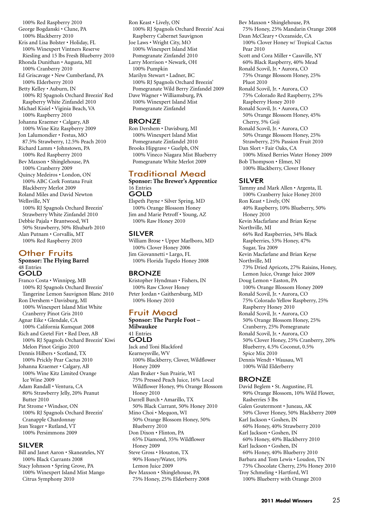100% Red Raspberry 2010 George Bogdanski • Clune, PA 100% Blackberry 2010 Kris and Lisa Bolster • Holiday, FL 100% Winexpert Vintners Reserve Riesling and 15 lbs Fresh Blueberry 2010 Rhonda Dunithan • Augusta, MI 100% Cranberry 2010 Ed Griscavage • New Cumberland, PA 100% Elderberry 2010 Betty Kelley • Auburn, IN 100% RJ Spagnols Orchard Breezin' Red Raspberry White Zinfandel 2010 Michael Kisiel • Viginia Beach, VA 100% Raspberry 2010 Johanna Kraemer • Calgary, AB 100% Wine Kitz Raspberry 2009 Jon Lalumondier • Festus, MO 87.5% Strawberry, 12.5% Peach 2010 Richard Lamm • Johnstown, PA 100% Red Raspberry 2010 Bev Maxson • Shinglehouse, PA 100% Cranberry 2009 Quincy Medeiros • London, ON 100% ABC Cork Fontana Fruit Blackberry Merlot 2009 Roland Miles and David Newton Wellsville, NY 100% RJ Spagnols Orchard Breezin' Strawberry White Zinfandel 2010 Debbie Pajala • Brantwood, WI 50% Strawberry, 50% Rhubarb 2010 Alan Putnam • Corvallis, MT 100% Red Raspberry 2010

## Other Fruits

#### **Sponsor: The Flying Barrel** 48 Entries GOLD

Franco Costa • Winnipeg, MB 100% RJ Spagnols Orchard Breezin' Tangerine Lemon Sauvignon Blanc 2010 Ron Dershem • Davisburg, MI 100% Winexpert Island Mist White Cranberry Pinot Gris 2010 Agnar Eike • Glendale, CA 100% California Kumquat 2008 Rich and Gretel Firt • Red Deer, AB 100% RJ Spagnols Orchard Breezin' Kiwi Melon Pinot Grigio 2010 Dennis Hilbers • Scotland, TX 100% Prickly Pear Cactus 2010 Johanna Kraemer • Calgary, AB 100% Wine Kitz Limited Orange Ice Wine 2009 Adam Randall • Ventura, CA 80% Strawberry Jelly, 20% Peanut Butter 2010 Pat Strome • Windsor, ON 100% RJ Spagnols Orchard Breezin' Cranapple Chardonnay Jean Yeager • Rutland, VT 100% Persimmons 2009

#### SILVER

Bill and Janet Aaron • Skaneateles, NY 100% Black Currants 2008 Stacy Johnson • Spring Grove, PA 100% Winexpert Island Mist Mango Citrus Symphony 2010

Ron Keast • Lively, ON 100% RJ Spagnols Orchard Breezin' Acai Raspberry Cabernet Sauvignon Joe Laws • Wright City, MO 100% Winexpert Island Mist Pomegranate Zinfandel 2010 Larry Morrison • Newark, OH 100% Pumpkin Marilyn Stewart • Ladner, BC 100% RJ Spagnols Orchard Breezin' Pomegranate Wild Berry Zinfandel 2009 Dave Wagner • Williamsburg, PA 100% Winexpert Island Mist Pomegranate Zinfandel

#### BRONZE

Ron Dershem • Davisburg, MI 100% Winexpert Island Mist Pomegranate Zinfandel 2010 Brooks Hipgrave • Guelph, ON 100% Vineco Niagara Mist Blueberry Pomegranate White Merlot 2009

## Traditional Mead

**Sponsor: The Brewer's Apprentice** 16 Entries GOLD

Elspeth Payne • Silver Spring, MD 100% Orange Blossom Honey Jim and Marie Petroff • Young, AZ 100% Raw Honey 2010

## SILVER

William Brose • Upper Marlboro, MD 100% Clover Honey 2006 Jim Giovannetti • Largo, FL 100% Florida Tupelo Honey 2008

#### BRONZE

Kristopher Hyndman • Fishers, IN 100% Raw Clover Honey Peter Jordan • Gaithersburg, MD 100% Honey 2010

## Fruit Mead

**Sponsor: The Purple Foot – Milwaukee** 41 Entries GOLD Jack and Toni Blackford Kearneysville, WV 100% Blackberry, Clover, Wildflower Honey 2009 Alan Braker • Sun Prairie, WI 75% Pressed Peach Juice, 16% Local Wildflower Honey, 9% Orange Blossom Honey 2010 Darrell Burch • Amarillo, TX 50% Black Currant, 50% Honey 2010 Mino Choi • Mequon, WI 50% Orange Blossom Honey, 50% Blueberry 2010 Don Dixon • Flinton, PA 65% Diamond, 35% Wildflower Honey 2009 Steve Gross • Houston, TX 90% Honey/Water, 10% Lemon Juice 2009 Bev Maxson • Shinglehouse, PA 75% Honey, 25% Elderberry 2008

Bev Maxson • Shinglehouse, PA

- 75% Honey, 25% Mandarin Orange 2008 Dean McCleary • Oceanside, CA 100% Clover Honey w/ Tropical Cactus
- Pear 2010 Scott and Cora Miller • Cassville, NY 60% Black Raspberry, 40% Mead
- Ronald Scovil, Jr. Aurora, CO 75% Orange Blossom Honey, 25% Pluot 2010
- Ronald Scovil, Jr. Aurora, CO 75% Colorado Red Raspberry, 25% Raspberry Honey 2010
- Ronald Scovil, Jr. Aurora, CO 50% Orange Blossom Honey, 45% Cherry, 5% Goji
- Ronald Scovil, Jr. Aurora, CO 50% Orange Blossom Honey, 25% Strawberry, 25% Passion Fruit 2010 Dan Slort • Fair Oaks, CA 100% Mixed Berries Water Honey 2009

Bob Thompson • Elmer, NJ 100% Blackberry, Clover Honey

## SILVER

Tammy and Mark Allen • Argenta, IL 100% Cranberry Juice Honey 2010 Ron Keast • Lively, ON 40% Raspberry, 10% Blueberry, 50% Honey 2010 Kevin Macfarlane and Brian Keyse Northville, MI 66% Red Raspberries, 34% Black Raspberries, 53% Honey, 47% Sugar, Tea 2009 Kevin Macfarlane and Brian Keyse Northville, MI 73% Dried Apricots, 27% Raisins, Honey, Lemon Juice, Orange Juice 2009 Doug Lemon • Easton, PA 100% Orange Blossom Honey 2009 Ronald Scovil, Jr. • Aurora, CO 75% Colorado Yellow Raspberry, 25% Raspberry Honey 2010 Ronald Scovil, Jr. • Aurora, CO 50% Orange Blossom Honey, 25% Cranberry, 25% Pomegranate Ronald Scovil, Jr. • Aurora, CO 50% Clover Honey, 25% Cranberry, 20% Blueberry, 4.5% Coconut, 0.5% Spice Mix 2010 Dennis Wendt • Wausau, WI 100% Wild Elderberry

#### BRONZE

David Beglem • St. Augustine, FL 90% Orange Blossom, 10% Wild Flower, Rasberries 5 lbs Galen Goutermont • Juneau, AK 50% Clover Honey, 50% Blackberry 2009 Karl Jackson • Goshen, IN 60% Honey, 40% Strawberry 2010 Karl Jackson • Goshen, IN 60% Honey, 40% Blackberry 2010 Karl Jackson • Goshen, IN 60% Honey, 40% Blueberry 2010 Barbara and Tom Lewis • Loudon, TN 75% Chocolate Cherry, 25% Honey 2010 Troy Schmeling • Hartford, WI 100% Blueberry with Orange 2010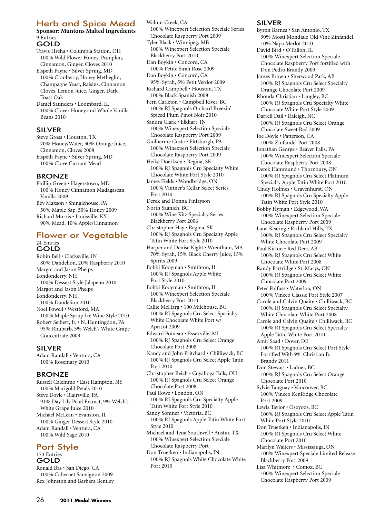## Herb and Spice Mead

#### **Sponsor: Muntons Malted Ingredients** 9 Entries GOLD

Travis Hreha • Columbia Station, OH 100% Wild Flower Honey, Pumpkin, Cinnamon, Ginger, Cloves 2010

Elspeth Payne • Silver Spring, MD 100% Cranberry, Honey Metheglin, Champagne Yeast, Raisins, Cinnamon Cloves, Lemon Juice, Ginger, Dark Toast Oak

Daniel Saunders • Loombard, IL 100% Clover Honey and Whole Vanilla Beans 2010

#### SILVER

Steve Gross • Houston, TX 70% Honey/Water, 30% Orange Juice, Cinnamon, Cloves 2008 Elspeth Payne • Silver Spring, MD 100% Clove Currant Mead

## BRONZE

Phillip Green • Hagerstown, MD 100% Honey Cinnamon Madagascan Vanilla 2009 Bev Maxson • Shinglehouse, PA 50% Maple Sap, 50% Honey 2009 Richard Morris • Louisville, KY 90% Mead. 10% Apple/Cinnamon

## Flower or Vegetable 24 Entries

GOLD Robin Bell • Clarksville, IN 80% Dandelion, 20% Raspberry 2010 Margot and Jason Phelps Londonderry, NH 100% Dessert Style Jalapeño 2010 Margot and Jason Phelps Londonderry, NH 100% Dandelion 2010 Noel Powell • Westford, MA 100% Maple Syrup Ice Wine Style 2010 Robert Seibert, Jr. • N. Huntingdon, PA 95% Rhubarb, 5% Welch's White Grape Concentrate 2009

## SILVER

Adam Randall • Ventura, CA 100% Rosemary 2010

#### **BRONZE**

Russell Calemmo • East Hampton, NY 100% Marigold Petals 2010 Steve Doyle • Blairsville, PA 91% Day Lily Petal Extract, 9% Welch's White Grape Juice 2010 Michael McLean • Evanston, IL 100% Ginger Dessert Style 2010 Adam Randall • Ventura, CA 100% Wild Sage 2010

#### Port Style 173 Entries **GOLD**

Ronald Bas • San Diego, CA 100% Cabernet Sauvignon 2009 Rex Johnston and Barbara Bentley Walnut Creek, CA

100% Winexpert Selection Speciale Series Chocolate Raspberry Port 2009

Tyler Black • Winnipeg, MB 100% Winexpert Selection Speciale Blackberry Port 2010 Dan Boykin • Concord, CA

100% Petite Sirah Rose 2009 Dan Boykin • Concord, CA

95% Syrah, 5% Petit Verdot 2009 Richard Campbell • Houston, TX 100% Black Spanish 2008

Fern Carleton • Campbell River, BC 100% RJ Spagnols Orchard Breezin' Spiced Plum Pinot Noir 2010 Sandra Clark • Elkhart, IN

100% Winexpert Selection Speciale Chocolate Raspberry Port 2009

Guilherme Costa • Pittsburgh, PA 100% Winexpert Selection Speciale Chocolate Raspberry Port 2009

Heike Doerksen • Regina, SK 100% RJ Spagnols Cru Specialty White Chocolate White Port Style 2010

James Fields • Woodbridge, ON 100% Vintner's Cellar Select Series Port 2010

Derek and Donna Finlayson

North Saanich, BC 100% Wine Kitz Specialty Series Blackberry Port 2006

Christopher Hay • Regina, SK 100% RJ Spagnols Cru Specialty Apple Tatin White Port Style 2010

Harper and Denise Kight • Wrentham, MA 70% Syrah, 15% Black Cherry Juice, 15% Spirits 2009

Bobbi Kooyman • Smithton, IL 100% RJ Spagnols Apple White Port Style 2010

Bobbi Kooyman • Smithton, IL 100% Winexpert Selection Speciale Blackberry Port 2010

Callie McHarg • 100 Milehouse, BC 100% RJ Spagnols Cru Select Specialty White Chocolate White Port w/ Apricot 2009

Edward Poineau • Essexville, MI 100% RJ Spagnols Cru Select Orange Chocolate Port 2008

Nancy and John Pritchard • Chilliwack, BC 100% RJ Spagnols Cru Select Apple Tatin Port 2010

Christopher Reich • Cuyahoga Falls, OH 100% RJ Spagnols Cru Select Orange Chocolate Port 2008

Paul Rowe • London, ON 100% RJ Spagnols Cru Specialty Apple Tatin White Port Style 2010

Sandy Somner • Victoria, BC 100% RJ Spagnols Apple Tatin White Port Style 2010

Michael and Tena Southwell • Austin, TX 100% Winexpert Selection Speciale Chocolate Raspberry Port

Don Truetken • Indianapolis, IN 100% RJ Spagnols White Chocolate White Port 2010

## SILVER

Byron Barnes • San Antonio, TX 90% Mosti Mondiale Old Vine Zinfandel, 10% Napa Merlot 2010 David Bird • O'Fallon, IL 100% Winexpert Selection Speciale Chocolate Raspberry Port fortified with Don Pedro Brandy 2009 James Brown • Sherwood Park, AB 100% RJ Spagnols Cru Select Specialty Orange Chocolate Port 2009 Rhonda Christian • Langley, BC 100% RJ Spagnols Cru Specialty White Chocolate White Port Style 2009 Darrell Dail • Raleigh, NC 100% RJ Spagnols Cru Select Orange Chocolate Sweet Red 2009 Joe Doyle • Patterson, CA 100% Zinfandel Port 2008 Jonathan George • Beaver Falls, PA 100% Winexpert Selection Speciale Chocolate Raspberry Port 2008 Derek Hammund • Thornbury, ON 100% RJ Spagnols Cru Select Platinum Specialty Apple Tatin White Port 2010 Cindy Holmes • Gravenhurst, ON 100% RJ Spagnols Cru Specialty Apple Tatin White Port Style 2010 Bobby Hyman • Edgewood, WA 100% Winexpert Selection Speciale Chocolate Raspberry Port 2009 Lana Keating • Richland Hills, TX 100% RJ Spagnols Cru Select Specialty White Chocolate Port 2009 Paul Kirton • Red Deer, AB 100% RJ Spagnols Cru Select White Chocolate White Port 2008 Randy Partridge • St. Marys, ON 100% RJ Spagnols Cru Select White Chocolate Port 2009 Peter Polfuss • Waterloo, ON 100% Vineco Classic Port Style 2007 Carole and Calvin Quaite • Chilliwack, BC 100% RJ Spagnols Cru Select Specialty White Chocolate White Port 2008 Carole and Calvin Quaite • Chilliwack, BC 100% RJ Spagnols Cru Select Specialty Apple Tatin White Port 2010 Amir Saad • Dover, DE 100% RJ Spagnols Cru Select Port Style Fortified With 9% Christian B. Brandy 2011 Don Stewart • Ladner, BC 100% RJ Spagnols Cru Select Orange Chocolate Port 2010 Sylvie Tanguay • Vancouver, BC 100% Vineco KenRidge Chocolate Port 2009 Lewis Taylor • Osoyoos, BC 100% RJ Spagnols Cru Select Apple Tatin White Port Style 2010 Don Truetken • Indianapolis, IN 100% RJ Spagnols Cru Select White Chocolate Port 2010 Marilyn Walters • Mississauga, ON 100% Winexpert Speciale Limited Release Blackberry Port 2009 Lisa Whitmore • Comox, BC 100% Winexpert Selection Speciale

Chocolate Raspberry Port 2009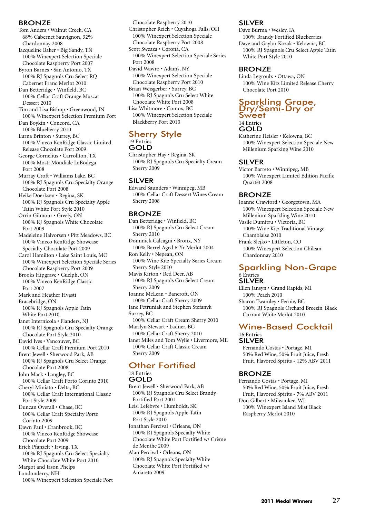#### **BRONZE**

Tom Anders • Walnut Creek, CA 68% Cabernet Sauvignon, 32% Chardonnay 2008 Jacqueline Baker • Big Sandy, TN 100% Winexpert Selection Speciale Chocolate Raspberry Port 2007 Byron Barnes • San Antonio, TX 100% RJ Spagnols Cru Select RQ Cabernet Franc Merlot 2010 Dan Betteridge • Winfield, BC 100% Cellar Craft Orange Muscat Dessert 2010 Tim and Lisa Bishop • Greenwood, IN 100% Winexpert Selection Premium Port Dan Boykin • Concord, CA 100% Blueberry 2010 Lurna Brinton • Surrey, BC 100% Vineco KenRidge Classic Limited Release Chocolate Port 2009 George Cornelius • Carrollton, TX 100% Mosti Mondiale LaBodega Port 2008 Murray Croft • Williams Lake, BC 100% RJ Spagnols Cru Specialty Orange Chocolate Port 2008 Heike Doerksen • Regina, SK 100% RJ Spagnols Cru Specialty Apple Tatin White Port Style 2010 Orrin Gilmour • Greely, ON 100% RJ Spagnols White Chocolate Port 2009 Madeleine Halvorsen • Pitt Meadows, BC 100% Vineco KenRidge Showcase Specialty Chocolate Port 2009 Carol Hamilton • Lake Saint Louis, MO 100% Winexpert Selection Speciale Series Chocolate Raspberry Port 2009 Brooks Hipgrave • Guelph, ON 100% Vineco KenRidge Classic Port 2007 Mark and Heather Hvasti Bracebridge, ON 100% RJ Spagnols Apple Tatin White Port 2010 Janet Internicola • Flanders, NJ 100% RJ Spagnols Cru Specialty Orange Chocolate Port Style 2010 David Ives • Vancouver, BC 100% Cellar Craft Premium Port 2010 Brent Jewell • Sherwood Park, AB 100% RJ Spagnols Cru Select Orange Chocolate Port 2008 John Mack • Langley, BC 100% Cellar Craft Porto Corinto 2010 Cheryl Miniato • Delta, BC 100% Cellar Craft International Classic Port Style 2009 Duncan Overall • Chase, BC 100% Cellar Craft Specialty Porto Corinto 2009 Dawn Paul • Cranbrook, BC 100% Vineco KenRidge Showcase Chocolate Port 2009 Erich Pfanzelt • Irving, TX 100% RJ Spagnols Cru Select Specialty White Chocolate White Port 2010 Margot and Jason Phelps Londonderry, NH 100% Winexpert Selection Speciale Port

Chocolate Raspberry 2010 Christopher Reich • Cuyahoga Falls, OH 100% Winexpert Selection Speciale Chocolate Raspberry Port 2008 Scott Sweaza • Corona, CA 100% Winexpert Selection Speciale Series Port 2008 David Wawro • Adams, NY 100% Winexpert Selection Speciale Chocolate Raspberry Port 2010 Brian Weisgerber • Surrey, BC 100% RJ Spagnols Cru Select White Chocolate White Port 2008 Lisa Whitmore • Comox, BC 100% Winexpert Selection Speciale Blackberry Port 2010

#### Sherry Style 19 Entries GOLD

Christopher Hay • Regina, SK 100% RJ Spagnols Cru Specialty Cream Sherry 2009

## SILVER

Edward Saunders • Winnipeg, MB 100% Cellar Craft Dessert Wines Cream Sherry 2008

## **BRONZE**

Dan Betteridge • Winfield, BC 100% RJ Spagnols Cru Select Cream Sherry 2010 Dominick Calcagni • Bronx, NY 100% Barrel Aged 6-Yr Merlot 2004

Ron Kelly • Nepean, ON 100% Wine Kitz Specialty Series Cream Sherry Style 2010

Mavis Kirton • Red Deer, AB 100% RJ Spagnols Cru Select Cream Sherry 2009

Joanne McLean • Bancroft, ON 100% Cellar Craft Sherry 2009 Jane Petruniak and Stephen Stefanyk Surrey, BC 100% Cellar Craft Cream Sherry 2010 Marilyn Stewart • Ladner, BC 100% Cellar Craft Sherry 2010

Janet Miles and Tom Wylie • Livermore, ME 100% Cellar Craft Classic Cream Sherry 2009

#### Other Fortified 18 Entries

#### GOLD

Brent Jewell • Sherwood Park, AB 100% RJ Spagnols Cru Select Brandy Fortified Port 2001

Leisl Lefebvre • Humboldt, SK 100% RJ Spagnols Apple Tatin Port Style 2010

Jonathan Percival • Orleans, ON 100% RJ Spagnols Specialty White Chocolate White Port Fortified w/ Crème de Menthe 2009

Alan Percival • Orleans, ON 100% RJ Spagnols Specialty White Chocolate White Port Fortified w/ Amareto 2009

### SILVER

Dave Burma • Wesley, IA 100% Brandy Fortified Blueberries Dave and Gaylor Kozak • Kelowna, BC 100% RJ Spagnols Cru Select Apple Tatin White Port Style 2010

#### BRONZE

Linda Legroulx • Ottawa, ON 100% Wine Kitz Limited Release Cherry Chocolate Port 2010

### Sparkling Grape, Dry/Semi-Dry or **Sweet**

14 Entries

#### GOLD

Katherine Heisler • Kelowna, BC 100% Winexpert Selection Speciale New Millenium Sparking Wine 2010

#### SILVER

Victor Barreto • Winnipeg, MB 100% Winexpert Limited Edition Pacific Quartet 2008

#### BRONZE

Joanne Crawford • Georgetown, MA 100% Winexpert Selection Speciale New Millenium Sparkling Wine 2010

Vasile Dumitru • Victoria, BC 100% Wine Kitz Traditional Vintage Chamblaise 2010

Frank Slejko • Littleton, CO 100% Winexpert Selection Chilean Chardonnay 2010

#### Sparkling Non-Grape 6 Entries SILVER

Ellen Jansyn • Grand Rapids, MI 100% Peach 2010

Sharon Twamley • Fernie, BC 100% RJ Spagnols Orchard Breezin' Black Currant White Merlot 2010

#### Wine-Based Cocktail 16 Entries SILVER

Fernando Costas • Portage, MI 50% Red Wine, 50% Fruit Juice, Fresh Fruit, Flavored Spirits - 12% ABV 2011

#### BRONZE

Fernando Costas • Portage, MI 50% Red Wine, 50% Fruit Juice, Fresh Fruit, Flavored Spirits - 7% ABV 2011 Don Gilbert • Milwaukee, WI

100% Winexpert Island Mist Black Raspberry Merlot 2010